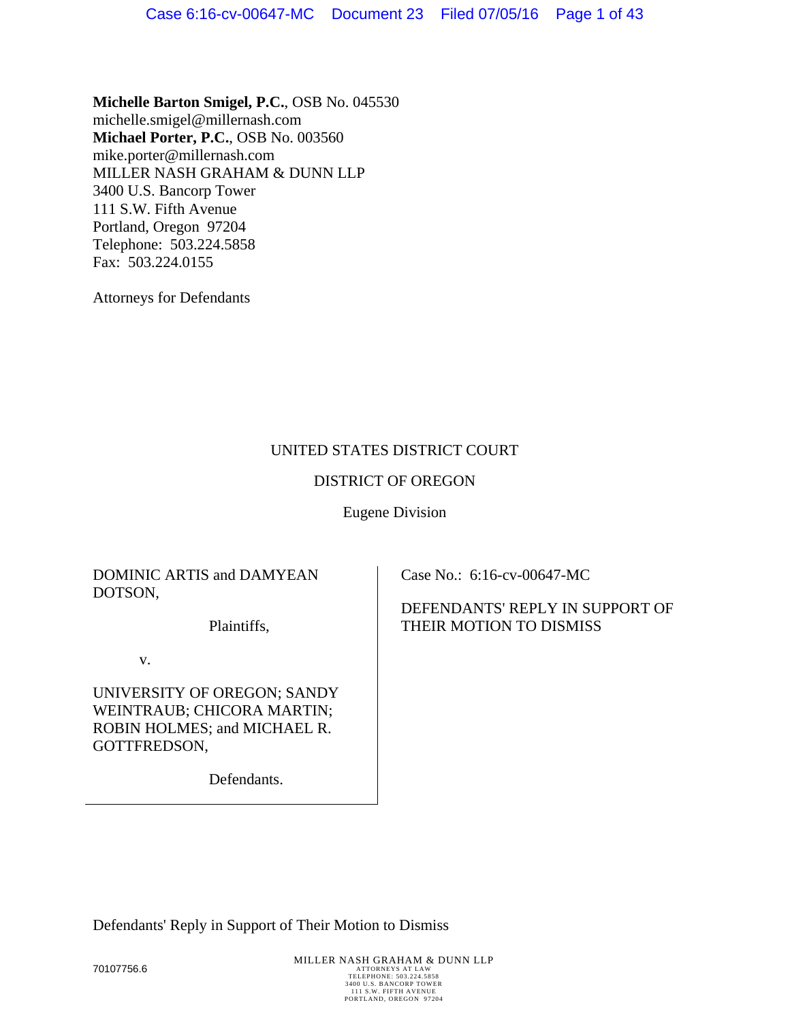**Michelle Barton Smigel, P.C.**, OSB No. 045530 michelle.smigel@millernash.com **Michael Porter, P.C.**, OSB No. 003560 mike.porter@millernash.com MILLER NASH GRAHAM & DUNN LLP 3400 U.S. Bancorp Tower 111 S.W. Fifth Avenue Portland, Oregon 97204 Telephone: 503.224.5858 Fax: 503.224.0155

Attorneys for Defendants

# UNITED STATES DISTRICT COURT

## DISTRICT OF OREGON

## Eugene Division

# DOMINIC ARTIS and DAMYEAN DOTSON,

Case No.: 6:16-cv-00647-MC

THEIR MOTION TO DISMISS

DEFENDANTS' REPLY IN SUPPORT OF

Plaintiffs,

v.

UNIVERSITY OF OREGON; SANDY WEINTRAUB; CHICORA MARTIN; ROBIN HOLMES; and MICHAEL R. GOTTFREDSON,

Defendants.

Defendants' Reply in Support of Their Motion to Dismiss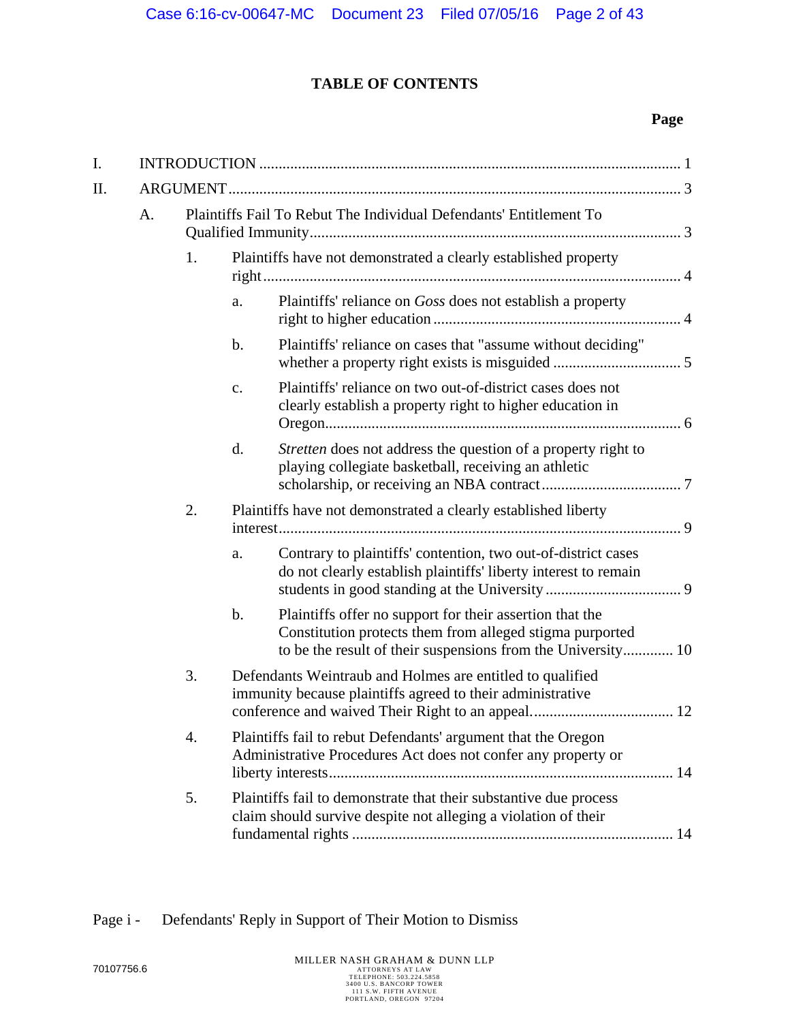# **TABLE OF CONTENTS**

# **Page**

| I. |    |    |                                                                                                                                                                                                       |  |  |  |  |
|----|----|----|-------------------------------------------------------------------------------------------------------------------------------------------------------------------------------------------------------|--|--|--|--|
| Π. |    |    |                                                                                                                                                                                                       |  |  |  |  |
|    | A. |    | Plaintiffs Fail To Rebut The Individual Defendants' Entitlement To                                                                                                                                    |  |  |  |  |
|    |    | 1. | Plaintiffs have not demonstrated a clearly established property                                                                                                                                       |  |  |  |  |
|    |    |    | Plaintiffs' reliance on Goss does not establish a property<br>a.                                                                                                                                      |  |  |  |  |
|    |    |    | $\mathbf b$ .<br>Plaintiffs' reliance on cases that "assume without deciding"                                                                                                                         |  |  |  |  |
|    |    |    | Plaintiffs' reliance on two out-of-district cases does not<br>$C_{\bullet}$<br>clearly establish a property right to higher education in                                                              |  |  |  |  |
|    |    |    | d.<br>Stretten does not address the question of a property right to<br>playing collegiate basketball, receiving an athletic                                                                           |  |  |  |  |
|    |    | 2. | Plaintiffs have not demonstrated a clearly established liberty                                                                                                                                        |  |  |  |  |
|    |    |    | Contrary to plaintiffs' contention, two out-of-district cases<br>a.<br>do not clearly establish plaintiffs' liberty interest to remain                                                                |  |  |  |  |
|    |    |    | Plaintiffs offer no support for their assertion that the<br>$\mathbf b$ .<br>Constitution protects them from alleged stigma purported<br>to be the result of their suspensions from the University 10 |  |  |  |  |
|    |    | 3. | Defendants Weintraub and Holmes are entitled to qualified<br>immunity because plaintiffs agreed to their administrative                                                                               |  |  |  |  |
|    |    | 4. | Plaintiffs fail to rebut Defendants' argument that the Oregon<br>Administrative Procedures Act does not confer any property or                                                                        |  |  |  |  |
|    |    | 5. | Plaintiffs fail to demonstrate that their substantive due process<br>claim should survive despite not alleging a violation of their                                                                   |  |  |  |  |

Page i - Defendants' Reply in Support of Their Motion to Dismiss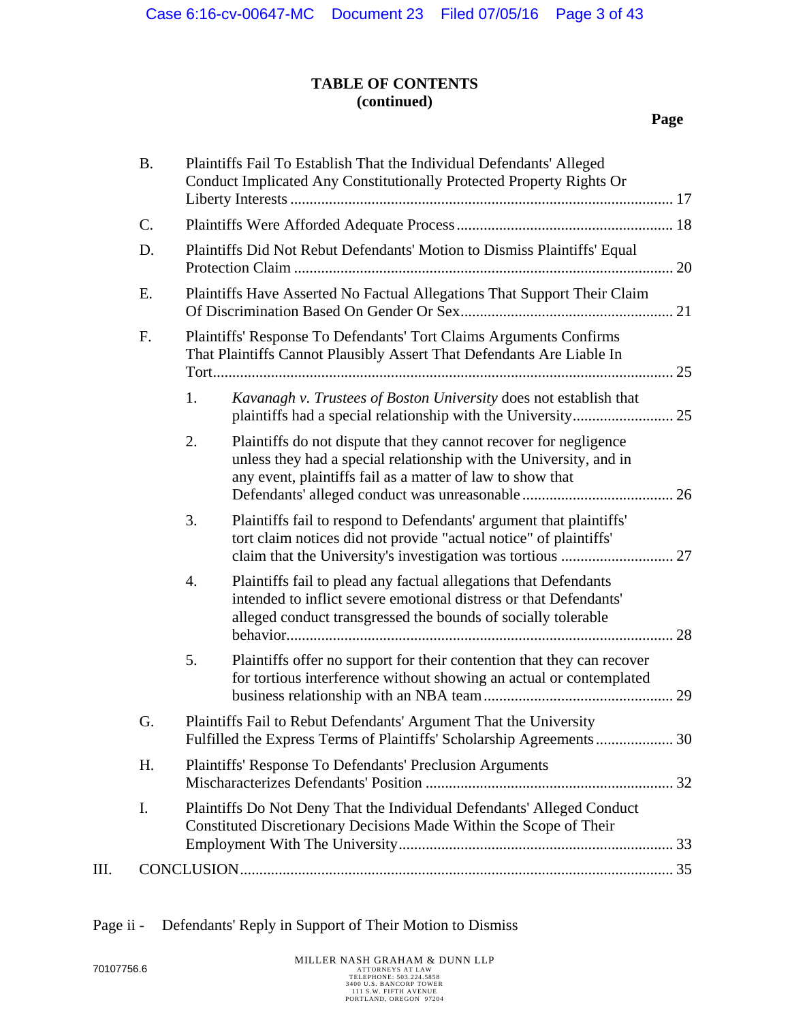## **TABLE OF CONTENTS (continued)**

|    | <b>B.</b> |                                                                                                                                             | Plaintiffs Fail To Establish That the Individual Defendants' Alleged<br>Conduct Implicated Any Constitutionally Protected Property Rights Or                                                           |    |
|----|-----------|---------------------------------------------------------------------------------------------------------------------------------------------|--------------------------------------------------------------------------------------------------------------------------------------------------------------------------------------------------------|----|
|    | C.        |                                                                                                                                             |                                                                                                                                                                                                        |    |
|    | D.        |                                                                                                                                             | Plaintiffs Did Not Rebut Defendants' Motion to Dismiss Plaintiffs' Equal                                                                                                                               |    |
|    | Ε.        |                                                                                                                                             | Plaintiffs Have Asserted No Factual Allegations That Support Their Claim                                                                                                                               |    |
|    | F.        | Plaintiffs' Response To Defendants' Tort Claims Arguments Confirms<br>That Plaintiffs Cannot Plausibly Assert That Defendants Are Liable In |                                                                                                                                                                                                        |    |
|    |           | 1.                                                                                                                                          | Kavanagh v. Trustees of Boston University does not establish that                                                                                                                                      |    |
|    |           | 2.                                                                                                                                          | Plaintiffs do not dispute that they cannot recover for negligence<br>unless they had a special relationship with the University, and in<br>any event, plaintiffs fail as a matter of law to show that  |    |
|    |           | 3.                                                                                                                                          | Plaintiffs fail to respond to Defendants' argument that plaintiffs'<br>tort claim notices did not provide "actual notice" of plaintiffs'                                                               |    |
|    |           | 4.                                                                                                                                          | Plaintiffs fail to plead any factual allegations that Defendants<br>intended to inflict severe emotional distress or that Defendants'<br>alleged conduct transgressed the bounds of socially tolerable | 28 |
|    |           | 5.                                                                                                                                          | Plaintiffs offer no support for their contention that they can recover<br>for tortious interference without showing an actual or contemplated                                                          |    |
|    | G.        | Plaintiffs Fail to Rebut Defendants' Argument That the University<br>Fulfilled the Express Terms of Plaintiffs' Scholarship Agreements 30   |                                                                                                                                                                                                        |    |
|    | Η.        | Plaintiffs' Response To Defendants' Preclusion Arguments                                                                                    |                                                                                                                                                                                                        |    |
|    | I.        |                                                                                                                                             | Plaintiffs Do Not Deny That the Individual Defendants' Alleged Conduct<br>Constituted Discretionary Decisions Made Within the Scope of Their                                                           |    |
| Ш. |           |                                                                                                                                             |                                                                                                                                                                                                        |    |
|    |           |                                                                                                                                             |                                                                                                                                                                                                        |    |

Page ii - Defendants' Reply in Support of Their Motion to Dismiss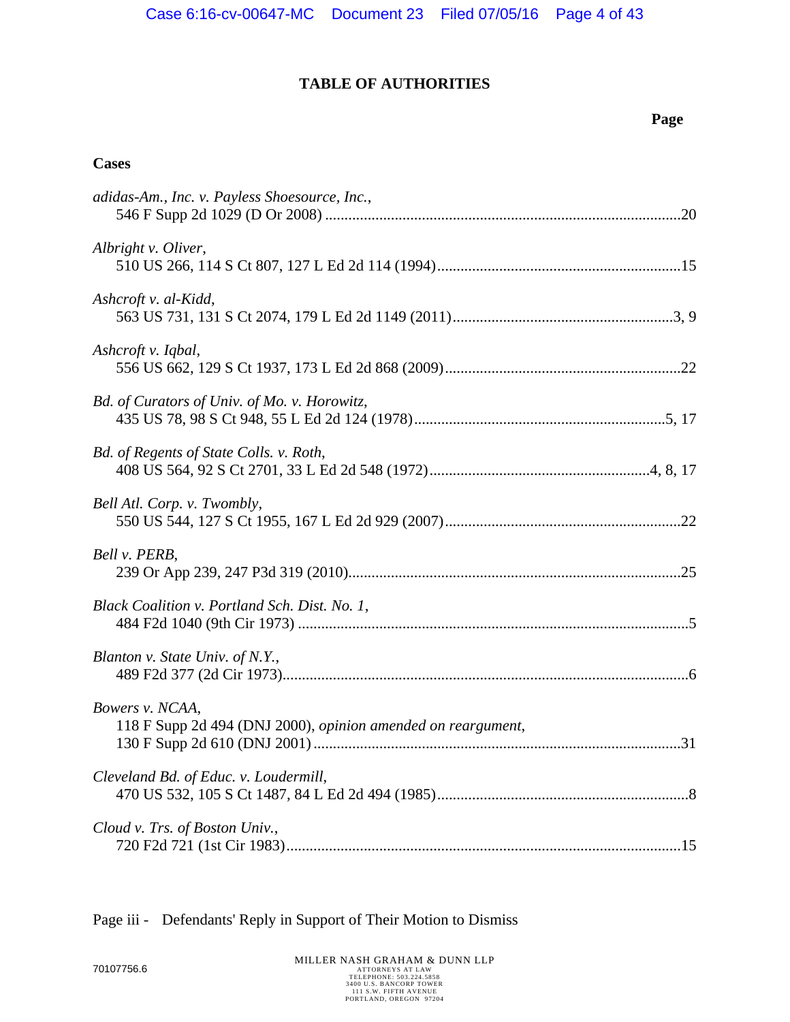## **TABLE OF AUTHORITIES**

# **Page**

## **Cases**

| adidas-Am., Inc. v. Payless Shoesource, Inc.,                                   |
|---------------------------------------------------------------------------------|
| Albright v. Oliver,                                                             |
| Ashcroft v. al-Kidd,                                                            |
| Ashcroft v. Iqbal,                                                              |
| Bd. of Curators of Univ. of Mo. v. Horowitz,                                    |
| Bd. of Regents of State Colls. v. Roth,                                         |
| Bell Atl. Corp. v. Twombly,                                                     |
| Bell v. PERB,                                                                   |
| Black Coalition v. Portland Sch. Dist. No. 1,                                   |
| Blanton v. State Univ. of N.Y.,                                                 |
| Bowers v. NCAA,<br>118 F Supp 2d 494 (DNJ 2000), opinion amended on reargument, |
| Cleveland Bd. of Educ. v. Loudermill,                                           |
| Cloud v. Trs. of Boston Univ.,                                                  |

Page iii - Defendants' Reply in Support of Their Motion to Dismiss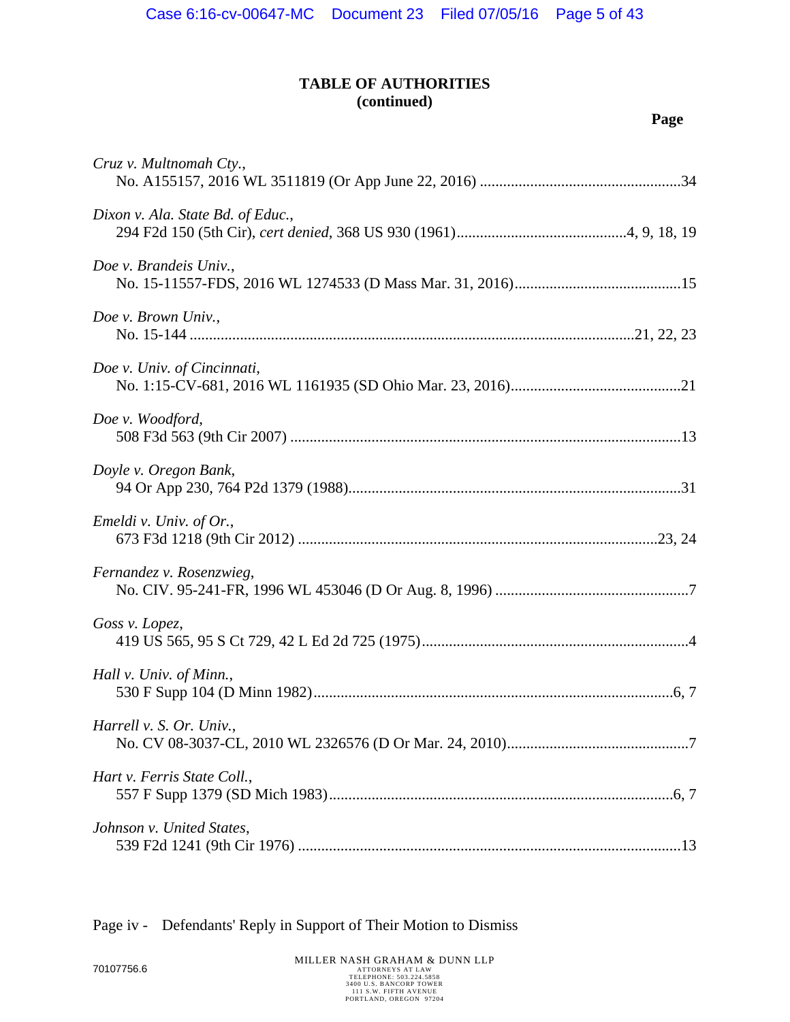## **TABLE OF AUTHORITIES (continued)**

| Cruz v. Multnomah Cty.,           |  |
|-----------------------------------|--|
| Dixon v. Ala. State Bd. of Educ., |  |
| Doe v. Brandeis Univ.,            |  |
| Doe v. Brown Univ.,               |  |
| Doe v. Univ. of Cincinnati,       |  |
| Doe v. Woodford,                  |  |
| Doyle v. Oregon Bank,             |  |
| Emeldi v. Univ. of Or.,           |  |
| Fernandez v. Rosenzwieg,          |  |
| Goss v. Lopez,                    |  |
| Hall v. Univ. of Minn.,           |  |
| Harrell v. S. Or. Univ.,          |  |
| Hart v. Ferris State Coll.,       |  |
| Johnson v. United States,         |  |

Page iv - Defendants' Reply in Support of Their Motion to Dismiss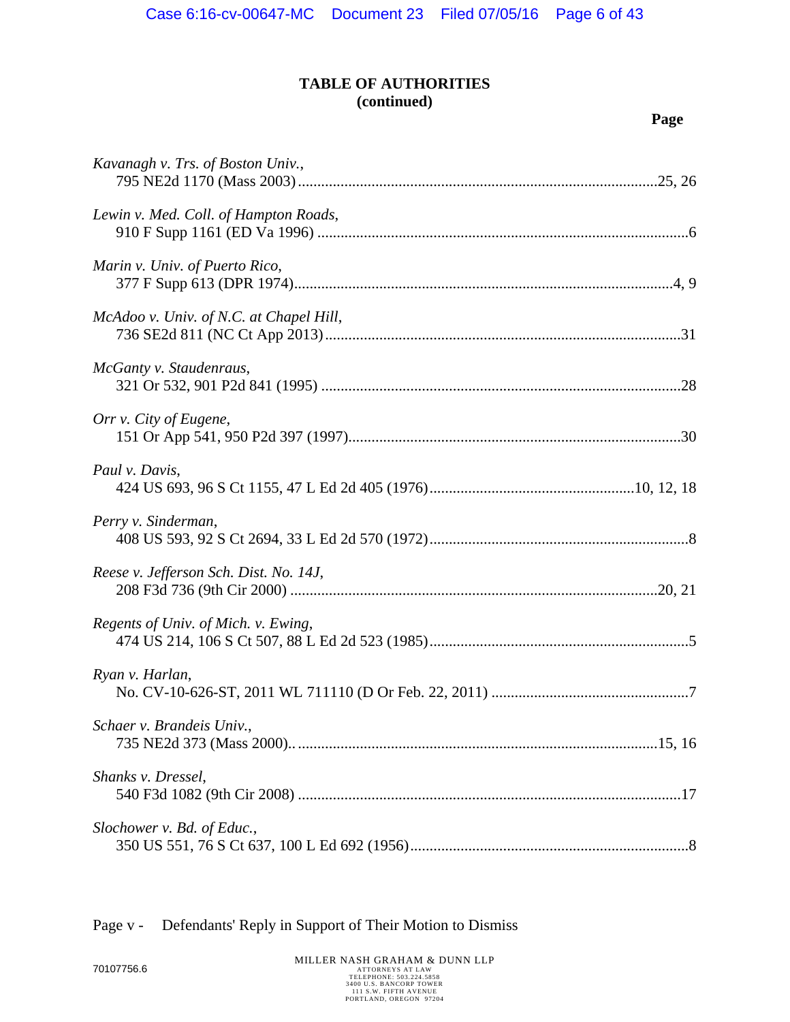## **TABLE OF AUTHORITIES (continued)**

| Kavanagh v. Trs. of Boston Univ.,       |
|-----------------------------------------|
| Lewin v. Med. Coll. of Hampton Roads,   |
| Marin v. Univ. of Puerto Rico,          |
| McAdoo v. Univ. of N.C. at Chapel Hill, |
| McGanty v. Staudenraus,                 |
| Orr v. City of Eugene,                  |
| Paul v. Davis,                          |
| Perry v. Sinderman,                     |
| Reese v. Jefferson Sch. Dist. No. 14J,  |
| Regents of Univ. of Mich. v. Ewing,     |
| Ryan v. Harlan,                         |
| Schaer v. Brandeis Univ.,               |
| Shanks v. Dressel,                      |
| Slochower v. Bd. of Educ.,              |

Page v - Defendants' Reply in Support of Their Motion to Dismiss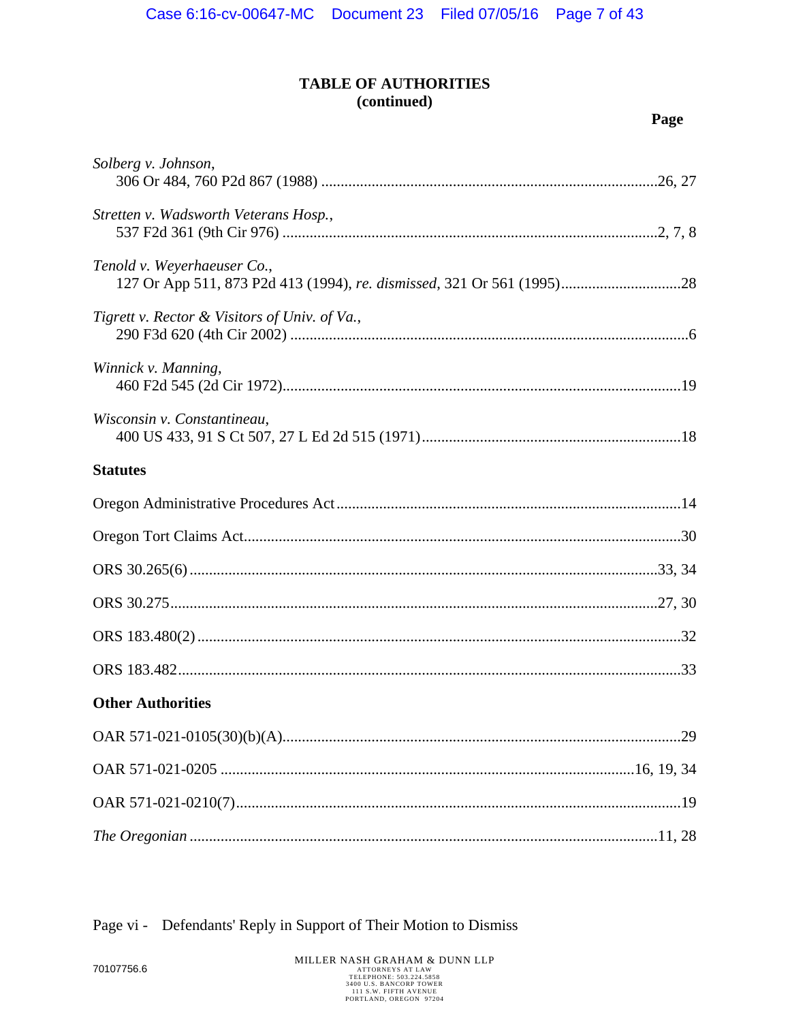## **TABLE OF AUTHORITIES (continued)**

Page vi - Defendants' Reply in Support of Their Motion to Dismiss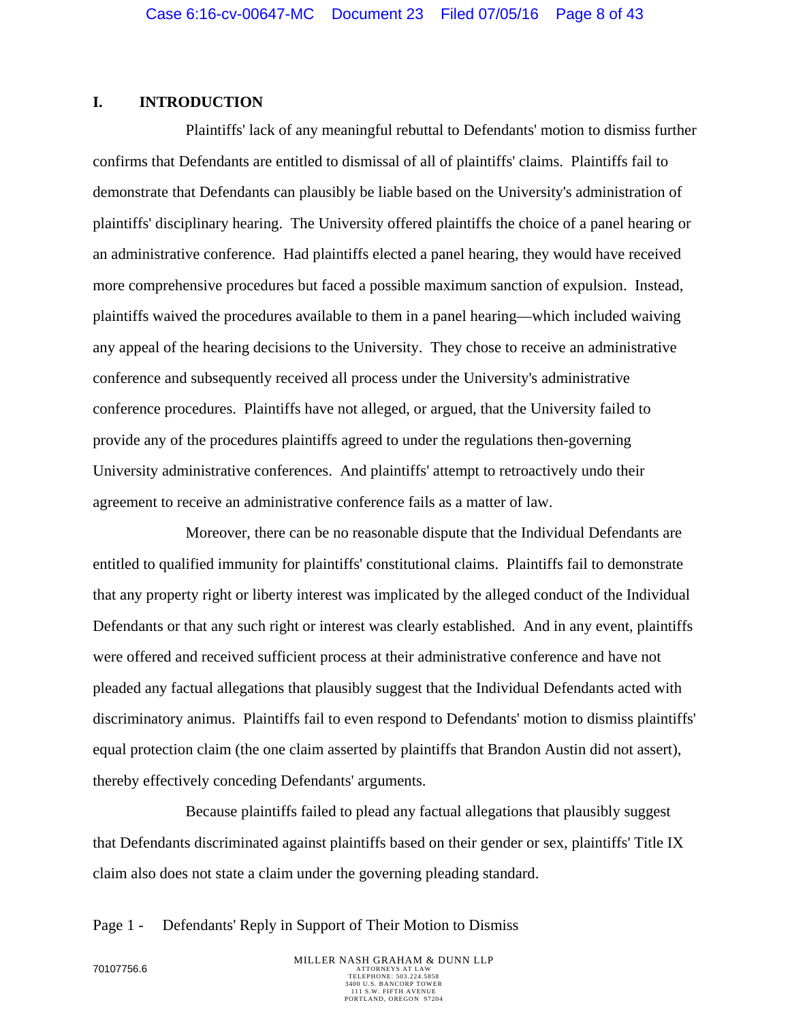### **I. INTRODUCTION**

Plaintiffs' lack of any meaningful rebuttal to Defendants' motion to dismiss further confirms that Defendants are entitled to dismissal of all of plaintiffs' claims. Plaintiffs fail to demonstrate that Defendants can plausibly be liable based on the University's administration of plaintiffs' disciplinary hearing. The University offered plaintiffs the choice of a panel hearing or an administrative conference. Had plaintiffs elected a panel hearing, they would have received more comprehensive procedures but faced a possible maximum sanction of expulsion. Instead, plaintiffs waived the procedures available to them in a panel hearing—which included waiving any appeal of the hearing decisions to the University. They chose to receive an administrative conference and subsequently received all process under the University's administrative conference procedures. Plaintiffs have not alleged, or argued, that the University failed to provide any of the procedures plaintiffs agreed to under the regulations then-governing University administrative conferences. And plaintiffs' attempt to retroactively undo their agreement to receive an administrative conference fails as a matter of law.

Moreover, there can be no reasonable dispute that the Individual Defendants are entitled to qualified immunity for plaintiffs' constitutional claims. Plaintiffs fail to demonstrate that any property right or liberty interest was implicated by the alleged conduct of the Individual Defendants or that any such right or interest was clearly established. And in any event, plaintiffs were offered and received sufficient process at their administrative conference and have not pleaded any factual allegations that plausibly suggest that the Individual Defendants acted with discriminatory animus. Plaintiffs fail to even respond to Defendants' motion to dismiss plaintiffs' equal protection claim (the one claim asserted by plaintiffs that Brandon Austin did not assert), thereby effectively conceding Defendants' arguments.

Because plaintiffs failed to plead any factual allegations that plausibly suggest that Defendants discriminated against plaintiffs based on their gender or sex, plaintiffs' Title IX claim also does not state a claim under the governing pleading standard.

Page 1 - Defendants' Reply in Support of Their Motion to Dismiss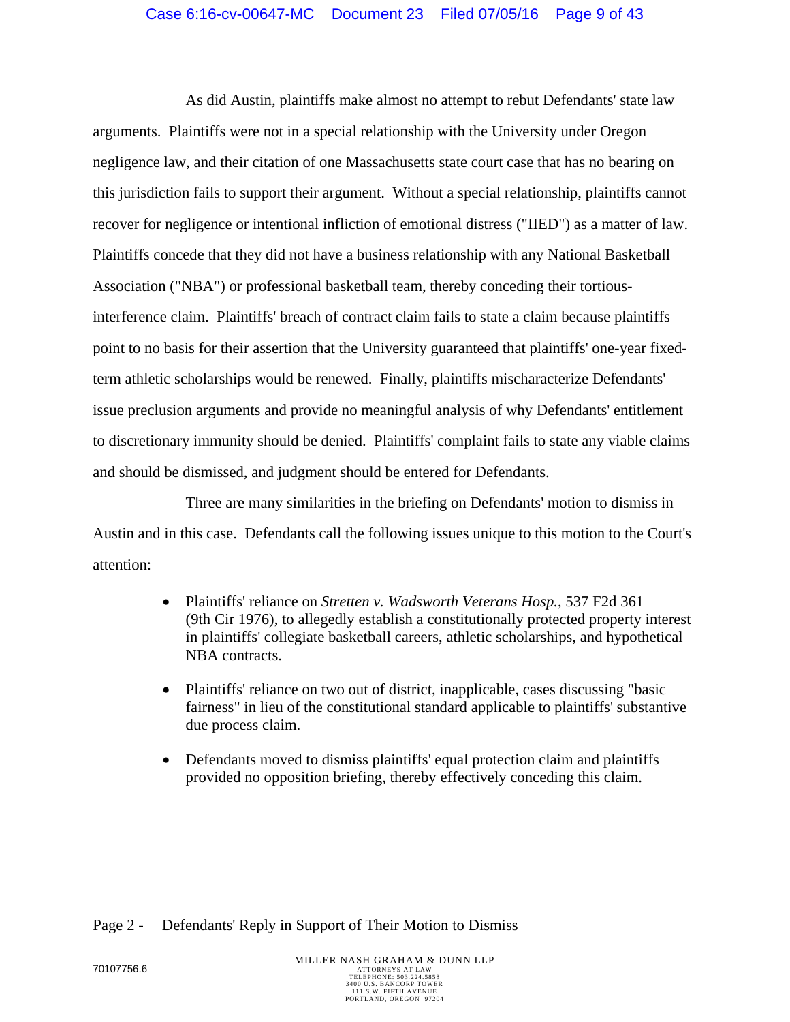## Case 6:16-cv-00647-MC Document 23 Filed 07/05/16 Page 9 of 43

As did Austin, plaintiffs make almost no attempt to rebut Defendants' state law arguments. Plaintiffs were not in a special relationship with the University under Oregon negligence law, and their citation of one Massachusetts state court case that has no bearing on this jurisdiction fails to support their argument. Without a special relationship, plaintiffs cannot recover for negligence or intentional infliction of emotional distress ("IIED") as a matter of law. Plaintiffs concede that they did not have a business relationship with any National Basketball Association ("NBA") or professional basketball team, thereby conceding their tortiousinterference claim. Plaintiffs' breach of contract claim fails to state a claim because plaintiffs point to no basis for their assertion that the University guaranteed that plaintiffs' one-year fixedterm athletic scholarships would be renewed. Finally, plaintiffs mischaracterize Defendants' issue preclusion arguments and provide no meaningful analysis of why Defendants' entitlement to discretionary immunity should be denied. Plaintiffs' complaint fails to state any viable claims and should be dismissed, and judgment should be entered for Defendants.

Three are many similarities in the briefing on Defendants' motion to dismiss in Austin and in this case. Defendants call the following issues unique to this motion to the Court's attention:

- Plaintiffs' reliance on *Stretten v. Wadsworth Veterans Hosp.*, 537 F2d 361 (9th Cir 1976), to allegedly establish a constitutionally protected property interest in plaintiffs' collegiate basketball careers, athletic scholarships, and hypothetical NBA contracts.
- Plaintiffs' reliance on two out of district, inapplicable, cases discussing "basic fairness" in lieu of the constitutional standard applicable to plaintiffs' substantive due process claim.
- Defendants moved to dismiss plaintiffs' equal protection claim and plaintiffs provided no opposition briefing, thereby effectively conceding this claim.

#### Page 2 - Defendants' Reply in Support of Their Motion to Dismiss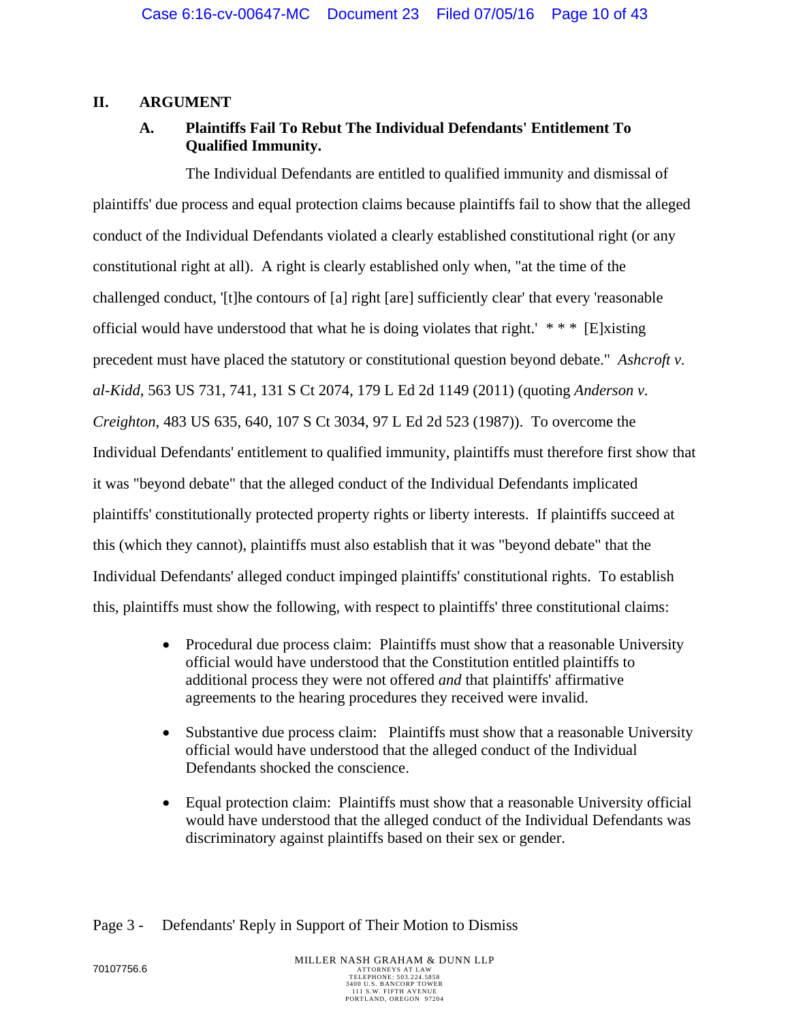# **II. ARGUMENT**

# **A. Plaintiffs Fail To Rebut The Individual Defendants' Entitlement To Qualified Immunity.**

The Individual Defendants are entitled to qualified immunity and dismissal of plaintiffs' due process and equal protection claims because plaintiffs fail to show that the alleged conduct of the Individual Defendants violated a clearly established constitutional right (or any constitutional right at all). A right is clearly established only when, "at the time of the challenged conduct, '[t]he contours of [a] right [are] sufficiently clear' that every 'reasonable official would have understood that what he is doing violates that right.' *\* \* \** [E]xisting precedent must have placed the statutory or constitutional question beyond debate." *Ashcroft v. al-Kidd*, 563 US 731, 741, 131 S Ct 2074, 179 L Ed 2d 1149 (2011) (quoting *Anderson v. Creighton*, 483 US 635, 640, 107 S Ct 3034, 97 L Ed 2d 523 (1987)). To overcome the Individual Defendants' entitlement to qualified immunity, plaintiffs must therefore first show that it was "beyond debate" that the alleged conduct of the Individual Defendants implicated plaintiffs' constitutionally protected property rights or liberty interests. If plaintiffs succeed at this (which they cannot), plaintiffs must also establish that it was "beyond debate" that the Individual Defendants' alleged conduct impinged plaintiffs' constitutional rights. To establish this, plaintiffs must show the following, with respect to plaintiffs' three constitutional claims:

- Procedural due process claim: Plaintiffs must show that a reasonable University official would have understood that the Constitution entitled plaintiffs to additional process they were not offered *and* that plaintiffs' affirmative agreements to the hearing procedures they received were invalid.
- Substantive due process claim: Plaintiffs must show that a reasonable University official would have understood that the alleged conduct of the Individual Defendants shocked the conscience.
- Equal protection claim: Plaintiffs must show that a reasonable University official would have understood that the alleged conduct of the Individual Defendants was discriminatory against plaintiffs based on their sex or gender.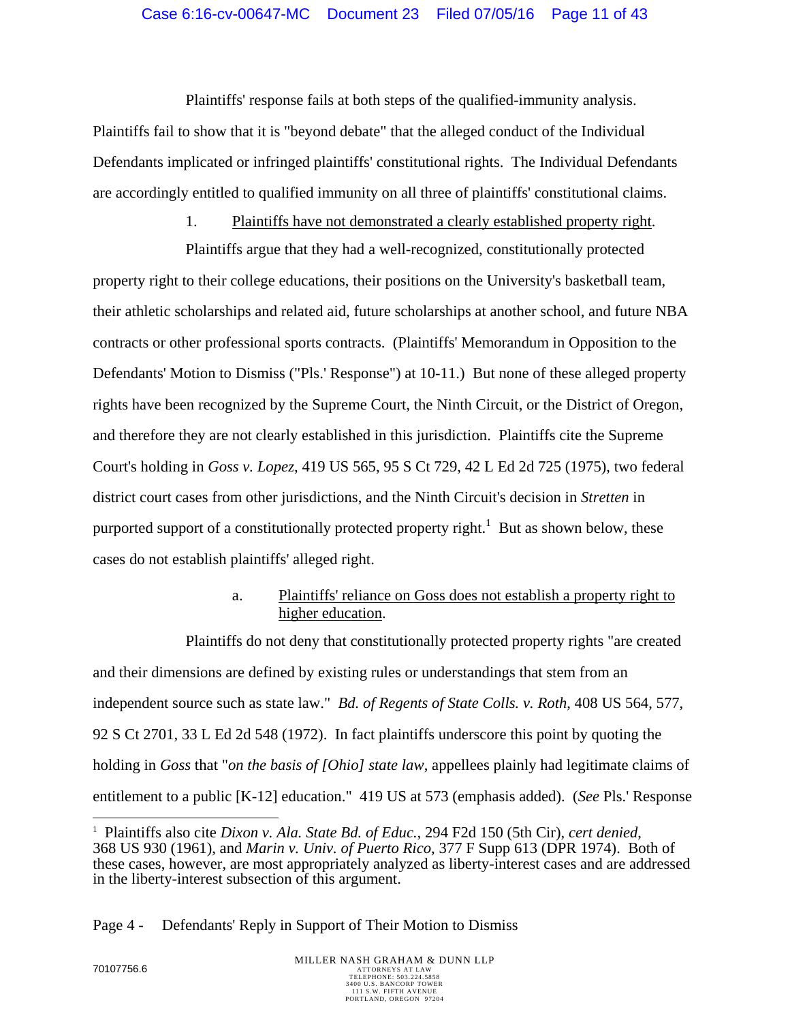## Case 6:16-cv-00647-MC Document 23 Filed 07/05/16 Page 11 of 43

Plaintiffs' response fails at both steps of the qualified-immunity analysis. Plaintiffs fail to show that it is "beyond debate" that the alleged conduct of the Individual Defendants implicated or infringed plaintiffs' constitutional rights. The Individual Defendants are accordingly entitled to qualified immunity on all three of plaintiffs' constitutional claims.

1. Plaintiffs have not demonstrated a clearly established property right.

Plaintiffs argue that they had a well-recognized, constitutionally protected property right to their college educations, their positions on the University's basketball team, their athletic scholarships and related aid, future scholarships at another school, and future NBA contracts or other professional sports contracts. (Plaintiffs' Memorandum in Opposition to the Defendants' Motion to Dismiss ("Pls.' Response") at 10-11.) But none of these alleged property rights have been recognized by the Supreme Court, the Ninth Circuit, or the District of Oregon, and therefore they are not clearly established in this jurisdiction. Plaintiffs cite the Supreme Court's holding in *Goss v. Lopez*, 419 US 565, 95 S Ct 729, 42 L Ed 2d 725 (1975), two federal district court cases from other jurisdictions, and the Ninth Circuit's decision in *Stretten* in purported support of a constitutionally protected property right.<sup>1</sup> But as shown below, these cases do not establish plaintiffs' alleged right.

# a. Plaintiffs' reliance on Goss does not establish a property right to higher education.

Plaintiffs do not deny that constitutionally protected property rights "are created and their dimensions are defined by existing rules or understandings that stem from an independent source such as state law." *Bd. of Regents of State Colls. v. Roth*, 408 US 564, 577, 92 S Ct 2701, 33 L Ed 2d 548 (1972). In fact plaintiffs underscore this point by quoting the holding in *Goss* that "*on the basis of [Ohio] state law*, appellees plainly had legitimate claims of entitlement to a public [K-12] education." 419 US at 573 (emphasis added). (*See* Pls.' Response

 $\overline{a}$ 

<sup>1</sup> Plaintiffs also cite *Dixon v. Ala. State Bd. of Educ.*, 294 F2d 150 (5th Cir), *cert denied*, 368 US 930 (1961), and *Marin v. Univ. of Puerto Rico*, 377 F Supp 613 (DPR 1974). Both of these cases, however, are most appropriately analyzed as liberty-interest cases and are addressed in the liberty-interest subsection of this argument.

Page 4 - Defendants' Reply in Support of Their Motion to Dismiss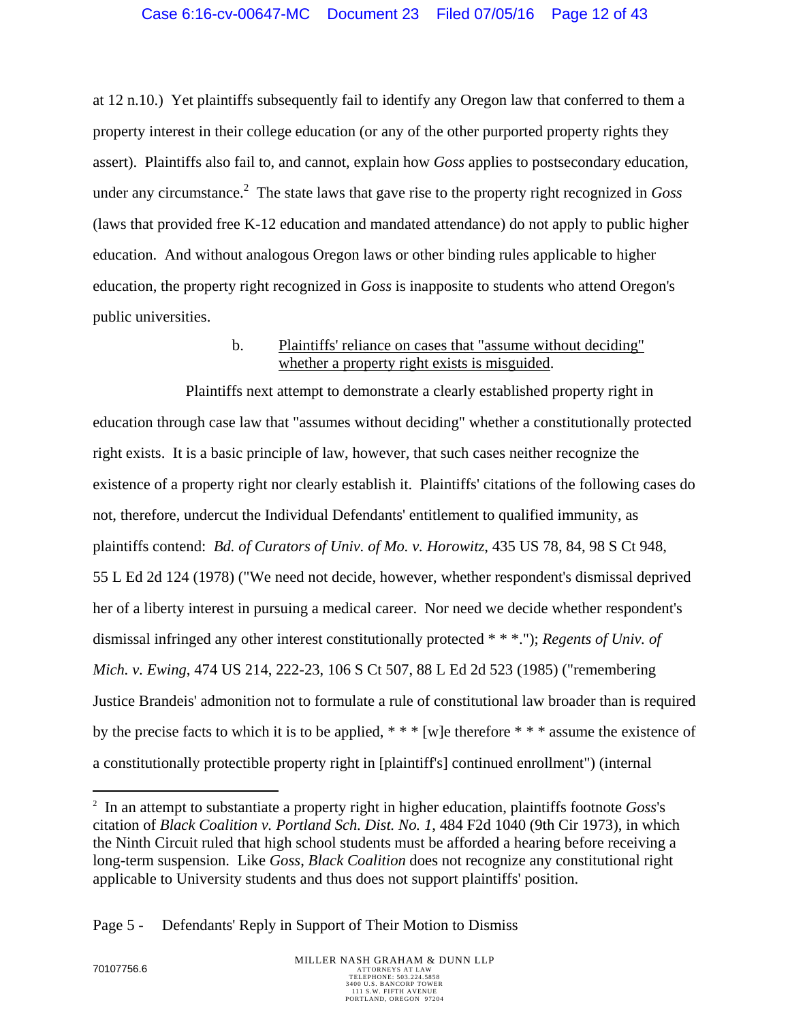at 12 n.10.) Yet plaintiffs subsequently fail to identify any Oregon law that conferred to them a property interest in their college education (or any of the other purported property rights they assert). Plaintiffs also fail to, and cannot, explain how *Goss* applies to postsecondary education, under any circumstance.<sup>2</sup> The state laws that gave rise to the property right recognized in *Goss* (laws that provided free K-12 education and mandated attendance) do not apply to public higher education. And without analogous Oregon laws or other binding rules applicable to higher education, the property right recognized in *Goss* is inapposite to students who attend Oregon's public universities.

## b. Plaintiffs' reliance on cases that "assume without deciding" whether a property right exists is misguided.

Plaintiffs next attempt to demonstrate a clearly established property right in education through case law that "assumes without deciding" whether a constitutionally protected right exists. It is a basic principle of law, however, that such cases neither recognize the existence of a property right nor clearly establish it. Plaintiffs' citations of the following cases do not, therefore, undercut the Individual Defendants' entitlement to qualified immunity, as plaintiffs contend: *Bd. of Curators of Univ. of Mo. v. Horowitz*, 435 US 78, 84, 98 S Ct 948, 55 L Ed 2d 124 (1978) ("We need not decide, however, whether respondent's dismissal deprived her of a liberty interest in pursuing a medical career. Nor need we decide whether respondent's dismissal infringed any other interest constitutionally protected \* \* \*."); *Regents of Univ. of Mich. v. Ewing*, 474 US 214, 222-23, 106 S Ct 507, 88 L Ed 2d 523 (1985) ("remembering Justice Brandeis' admonition not to formulate a rule of constitutional law broader than is required by the precise facts to which it is to be applied, \* \* \* [w]e therefore \* \* \* assume the existence of a constitutionally protectible property right in [plaintiff's] continued enrollment") (internal

 $\overline{a}$ 

<sup>2</sup> In an attempt to substantiate a property right in higher education, plaintiffs footnote *Goss*'s citation of *Black Coalition v. Portland Sch. Dist. No. 1*, 484 F2d 1040 (9th Cir 1973), in which the Ninth Circuit ruled that high school students must be afforded a hearing before receiving a long-term suspension. Like *Goss*, *Black Coalition* does not recognize any constitutional right applicable to University students and thus does not support plaintiffs' position.

Page 5 - Defendants' Reply in Support of Their Motion to Dismiss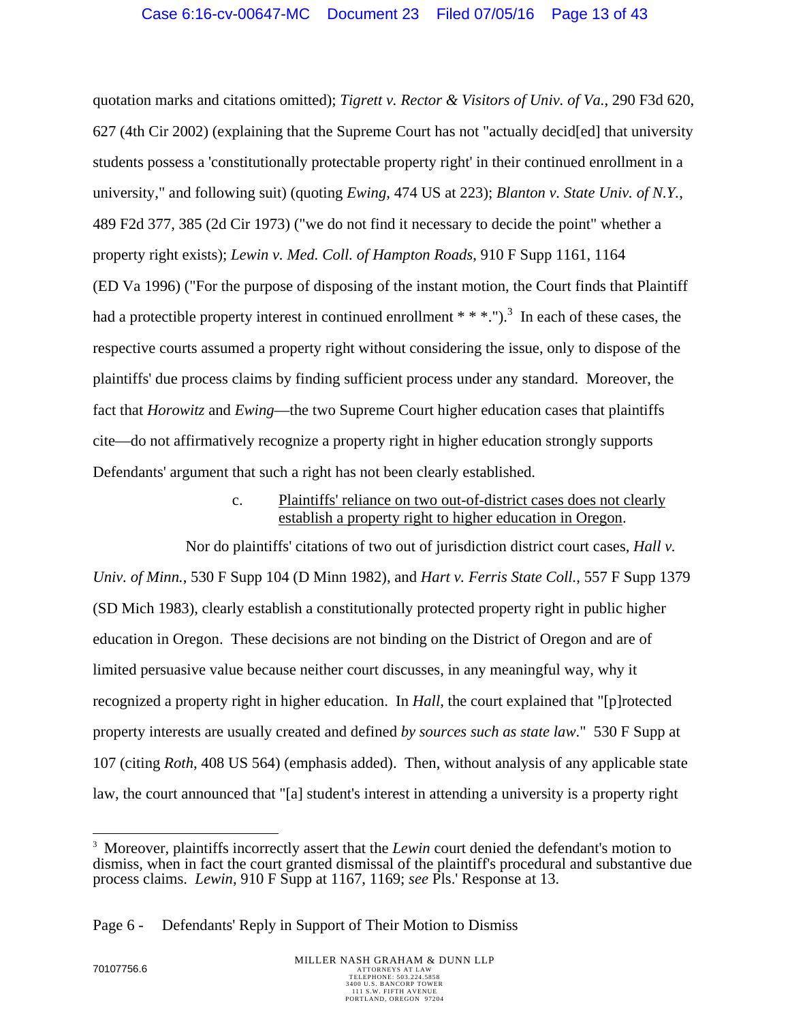quotation marks and citations omitted); *Tigrett v. Rector & Visitors of Univ. of Va.*, 290 F3d 620, 627 (4th Cir 2002) (explaining that the Supreme Court has not "actually decid[ed] that university students possess a 'constitutionally protectable property right' in their continued enrollment in a university," and following suit) (quoting *Ewing*, 474 US at 223); *Blanton v. State Univ. of N.Y.*, 489 F2d 377, 385 (2d Cir 1973) ("we do not find it necessary to decide the point" whether a property right exists); *Lewin v. Med. Coll. of Hampton Roads*, 910 F Supp 1161, 1164 (ED Va 1996) ("For the purpose of disposing of the instant motion, the Court finds that Plaintiff had a protectible property interest in continued enrollment  $* * *$ ").<sup>3</sup> In each of these cases, the respective courts assumed a property right without considering the issue, only to dispose of the plaintiffs' due process claims by finding sufficient process under any standard. Moreover, the fact that *Horowitz* and *Ewing*—the two Supreme Court higher education cases that plaintiffs cite—do not affirmatively recognize a property right in higher education strongly supports Defendants' argument that such a right has not been clearly established.

### c. Plaintiffs' reliance on two out-of-district cases does not clearly establish a property right to higher education in Oregon.

Nor do plaintiffs' citations of two out of jurisdiction district court cases, *Hall v. Univ. of Minn.*, 530 F Supp 104 (D Minn 1982), and *Hart v. Ferris State Coll.*, 557 F Supp 1379 (SD Mich 1983), clearly establish a constitutionally protected property right in public higher education in Oregon. These decisions are not binding on the District of Oregon and are of limited persuasive value because neither court discusses, in any meaningful way, why it recognized a property right in higher education. In *Hall*, the court explained that "[p]rotected property interests are usually created and defined *by sources such as state law*." 530 F Supp at 107 (citing *Roth*, 408 US 564) (emphasis added). Then, without analysis of any applicable state law, the court announced that "[a] student's interest in attending a university is a property right

 $\overline{a}$ <sup>3</sup> Moreover, plaintiffs incorrectly assert that the *Lewin* court denied the defendant's motion to dismiss, when in fact the court granted dismissal of the plaintiff's procedural and substantive due process claims. *Lewin*, 910 F Supp at 1167, 1169; *see* Pls.' Response at 13.

Page 6 - Defendants' Reply in Support of Their Motion to Dismiss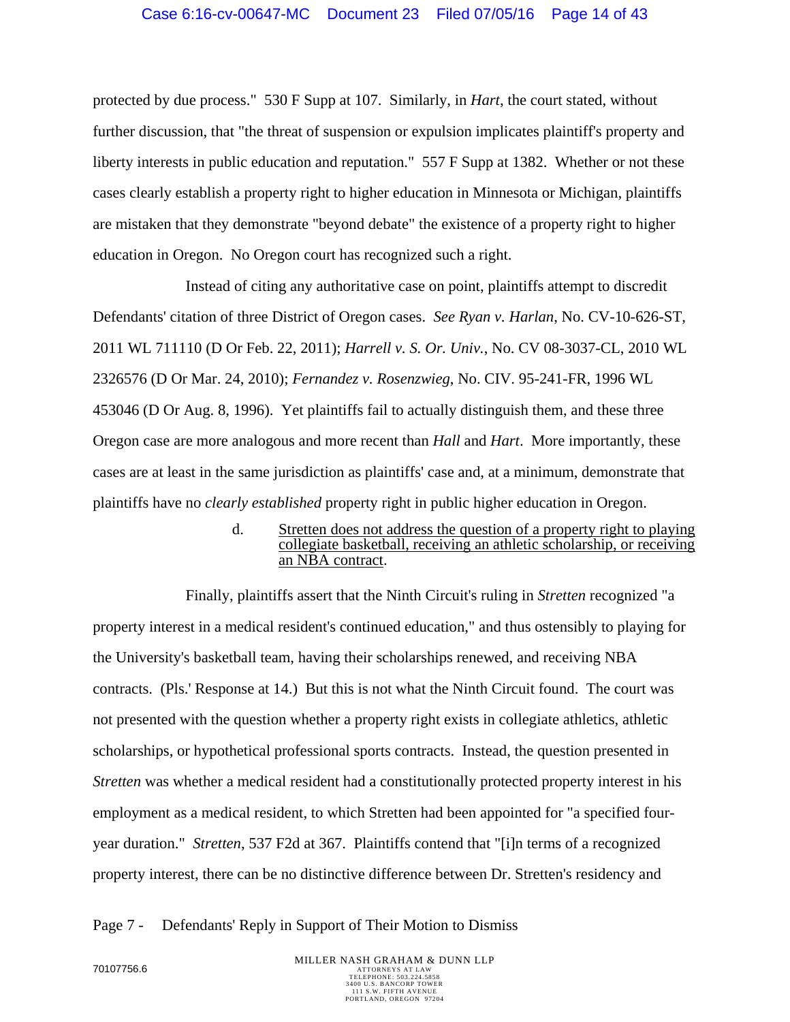protected by due process." 530 F Supp at 107. Similarly, in *Hart*, the court stated, without further discussion, that "the threat of suspension or expulsion implicates plaintiff's property and liberty interests in public education and reputation." 557 F Supp at 1382. Whether or not these cases clearly establish a property right to higher education in Minnesota or Michigan, plaintiffs are mistaken that they demonstrate "beyond debate" the existence of a property right to higher education in Oregon. No Oregon court has recognized such a right.

Instead of citing any authoritative case on point, plaintiffs attempt to discredit Defendants' citation of three District of Oregon cases. *See Ryan v. Harlan*, No. CV-10-626-ST, 2011 WL 711110 (D Or Feb. 22, 2011); *Harrell v. S. Or. Univ.*, No. CV 08-3037-CL, 2010 WL 2326576 (D Or Mar. 24, 2010); *Fernandez v. Rosenzwieg*, No. CIV. 95-241-FR, 1996 WL 453046 (D Or Aug. 8, 1996). Yet plaintiffs fail to actually distinguish them, and these three Oregon case are more analogous and more recent than *Hall* and *Hart*. More importantly, these cases are at least in the same jurisdiction as plaintiffs' case and, at a minimum, demonstrate that plaintiffs have no *clearly established* property right in public higher education in Oregon.

> d. Stretten does not address the question of a property right to playing collegiate basketball, receiving an athletic scholarship, or receiving an NBA contract.

Finally, plaintiffs assert that the Ninth Circuit's ruling in *Stretten* recognized "a property interest in a medical resident's continued education," and thus ostensibly to playing for the University's basketball team, having their scholarships renewed, and receiving NBA contracts. (Pls.' Response at 14.) But this is not what the Ninth Circuit found. The court was not presented with the question whether a property right exists in collegiate athletics, athletic scholarships, or hypothetical professional sports contracts. Instead, the question presented in *Stretten* was whether a medical resident had a constitutionally protected property interest in his employment as a medical resident, to which Stretten had been appointed for "a specified fouryear duration." *Stretten*, 537 F2d at 367. Plaintiffs contend that "[i]n terms of a recognized property interest, there can be no distinctive difference between Dr. Stretten's residency and

## Page 7 - Defendants' Reply in Support of Their Motion to Dismiss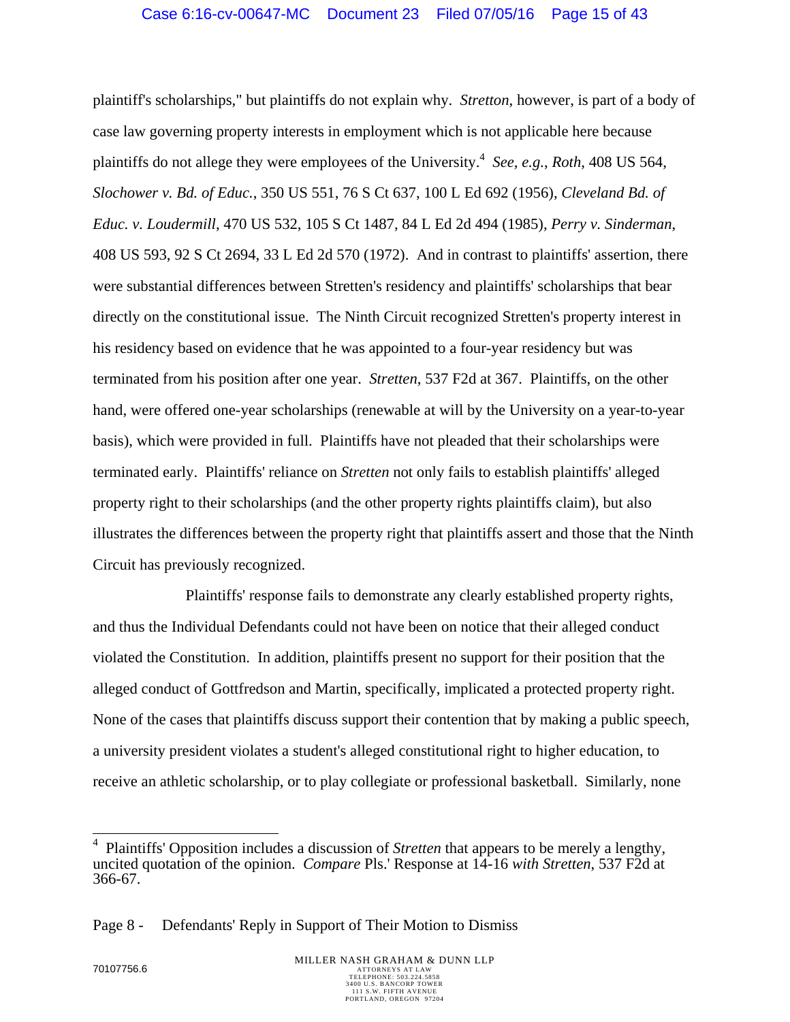plaintiff's scholarships," but plaintiffs do not explain why. *Stretton*, however, is part of a body of case law governing property interests in employment which is not applicable here because plaintiffs do not allege they were employees of the University.4 *See, e.g.*, *Roth*, 408 US 564, *Slochower v. Bd. of Educ.*, 350 US 551, 76 S Ct 637, 100 L Ed 692 (1956), *Cleveland Bd. of Educ. v. Loudermill*, 470 US 532, 105 S Ct 1487, 84 L Ed 2d 494 (1985), *Perry v. Sinderman*, 408 US 593, 92 S Ct 2694, 33 L Ed 2d 570 (1972). And in contrast to plaintiffs' assertion, there were substantial differences between Stretten's residency and plaintiffs' scholarships that bear directly on the constitutional issue. The Ninth Circuit recognized Stretten's property interest in his residency based on evidence that he was appointed to a four-year residency but was terminated from his position after one year. *Stretten*, 537 F2d at 367. Plaintiffs, on the other hand, were offered one-year scholarships (renewable at will by the University on a year-to-year basis), which were provided in full. Plaintiffs have not pleaded that their scholarships were terminated early. Plaintiffs' reliance on *Stretten* not only fails to establish plaintiffs' alleged property right to their scholarships (and the other property rights plaintiffs claim), but also illustrates the differences between the property right that plaintiffs assert and those that the Ninth Circuit has previously recognized.

Plaintiffs' response fails to demonstrate any clearly established property rights, and thus the Individual Defendants could not have been on notice that their alleged conduct violated the Constitution. In addition, plaintiffs present no support for their position that the alleged conduct of Gottfredson and Martin, specifically, implicated a protected property right. None of the cases that plaintiffs discuss support their contention that by making a public speech, a university president violates a student's alleged constitutional right to higher education, to receive an athletic scholarship, or to play collegiate or professional basketball. Similarly, none

 $\overline{\phantom{a}}$ 

<sup>4</sup> Plaintiffs' Opposition includes a discussion of *Stretten* that appears to be merely a lengthy, uncited quotation of the opinion. *Compare* Pls.' Response at 14-16 *with Stretten*, 537 F2d at 366-67.

Page 8 - Defendants' Reply in Support of Their Motion to Dismiss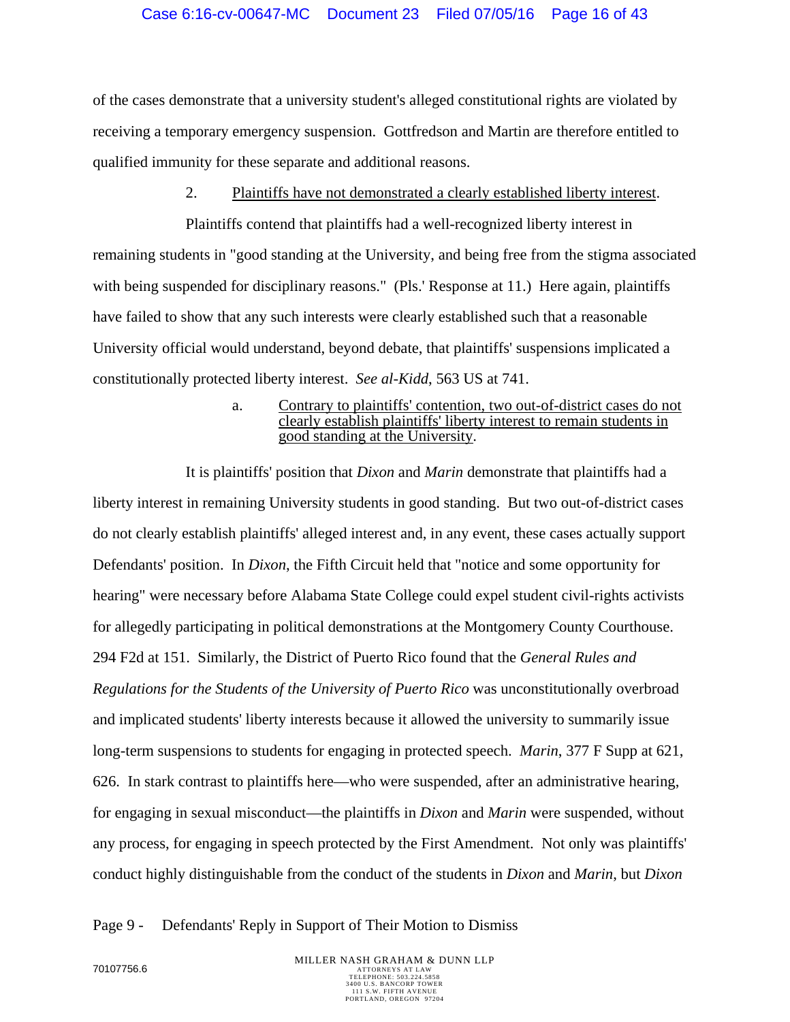of the cases demonstrate that a university student's alleged constitutional rights are violated by receiving a temporary emergency suspension. Gottfredson and Martin are therefore entitled to qualified immunity for these separate and additional reasons.

## 2. Plaintiffs have not demonstrated a clearly established liberty interest.

Plaintiffs contend that plaintiffs had a well-recognized liberty interest in remaining students in "good standing at the University, and being free from the stigma associated with being suspended for disciplinary reasons." (Pls.' Response at 11.) Here again, plaintiffs have failed to show that any such interests were clearly established such that a reasonable University official would understand, beyond debate, that plaintiffs' suspensions implicated a constitutionally protected liberty interest. *See al-Kidd*, 563 US at 741.

#### a. Contrary to plaintiffs' contention, two out-of-district cases do not clearly establish plaintiffs' liberty interest to remain students in good standing at the University.

It is plaintiffs' position that *Dixon* and *Marin* demonstrate that plaintiffs had a liberty interest in remaining University students in good standing. But two out-of-district cases do not clearly establish plaintiffs' alleged interest and, in any event, these cases actually support Defendants' position. In *Dixon*, the Fifth Circuit held that "notice and some opportunity for hearing" were necessary before Alabama State College could expel student civil-rights activists for allegedly participating in political demonstrations at the Montgomery County Courthouse. 294 F2d at 151. Similarly, the District of Puerto Rico found that the *General Rules and Regulations for the Students of the University of Puerto Rico* was unconstitutionally overbroad and implicated students' liberty interests because it allowed the university to summarily issue long-term suspensions to students for engaging in protected speech. *Marin*, 377 F Supp at 621, 626. In stark contrast to plaintiffs here—who were suspended, after an administrative hearing, for engaging in sexual misconduct—the plaintiffs in *Dixon* and *Marin* were suspended, without any process, for engaging in speech protected by the First Amendment. Not only was plaintiffs' conduct highly distinguishable from the conduct of the students in *Dixon* and *Marin*, but *Dixon*

# Page 9 - Defendants' Reply in Support of Their Motion to Dismiss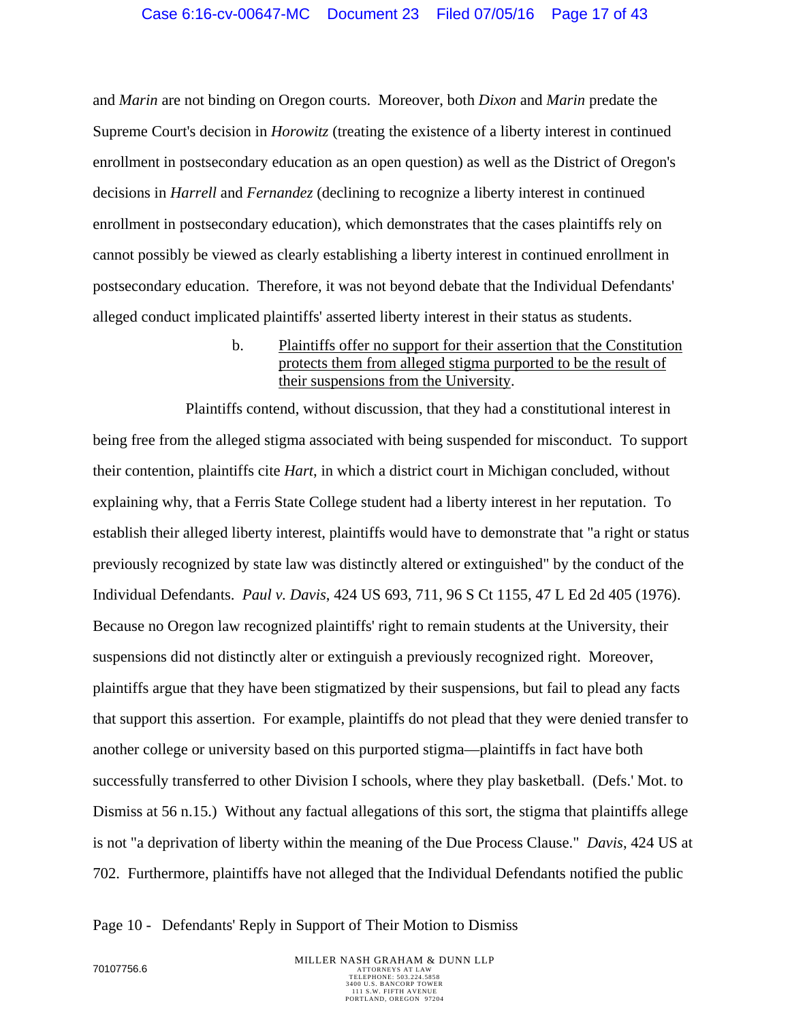and *Marin* are not binding on Oregon courts. Moreover, both *Dixon* and *Marin* predate the Supreme Court's decision in *Horowitz* (treating the existence of a liberty interest in continued enrollment in postsecondary education as an open question) as well as the District of Oregon's decisions in *Harrell* and *Fernandez* (declining to recognize a liberty interest in continued enrollment in postsecondary education), which demonstrates that the cases plaintiffs rely on cannot possibly be viewed as clearly establishing a liberty interest in continued enrollment in postsecondary education. Therefore, it was not beyond debate that the Individual Defendants' alleged conduct implicated plaintiffs' asserted liberty interest in their status as students.

> b. Plaintiffs offer no support for their assertion that the Constitution protects them from alleged stigma purported to be the result of their suspensions from the University.

Plaintiffs contend, without discussion, that they had a constitutional interest in being free from the alleged stigma associated with being suspended for misconduct. To support their contention, plaintiffs cite *Hart*, in which a district court in Michigan concluded, without explaining why, that a Ferris State College student had a liberty interest in her reputation. To establish their alleged liberty interest, plaintiffs would have to demonstrate that "a right or status previously recognized by state law was distinctly altered or extinguished" by the conduct of the Individual Defendants. *Paul v. Davis*, 424 US 693, 711, 96 S Ct 1155, 47 L Ed 2d 405 (1976). Because no Oregon law recognized plaintiffs' right to remain students at the University, their suspensions did not distinctly alter or extinguish a previously recognized right. Moreover, plaintiffs argue that they have been stigmatized by their suspensions, but fail to plead any facts that support this assertion. For example, plaintiffs do not plead that they were denied transfer to another college or university based on this purported stigma—plaintiffs in fact have both successfully transferred to other Division I schools, where they play basketball. (Defs.' Mot. to Dismiss at 56 n.15.) Without any factual allegations of this sort, the stigma that plaintiffs allege is not "a deprivation of liberty within the meaning of the Due Process Clause." *Davis*, 424 US at 702. Furthermore, plaintiffs have not alleged that the Individual Defendants notified the public

Page 10 - Defendants' Reply in Support of Their Motion to Dismiss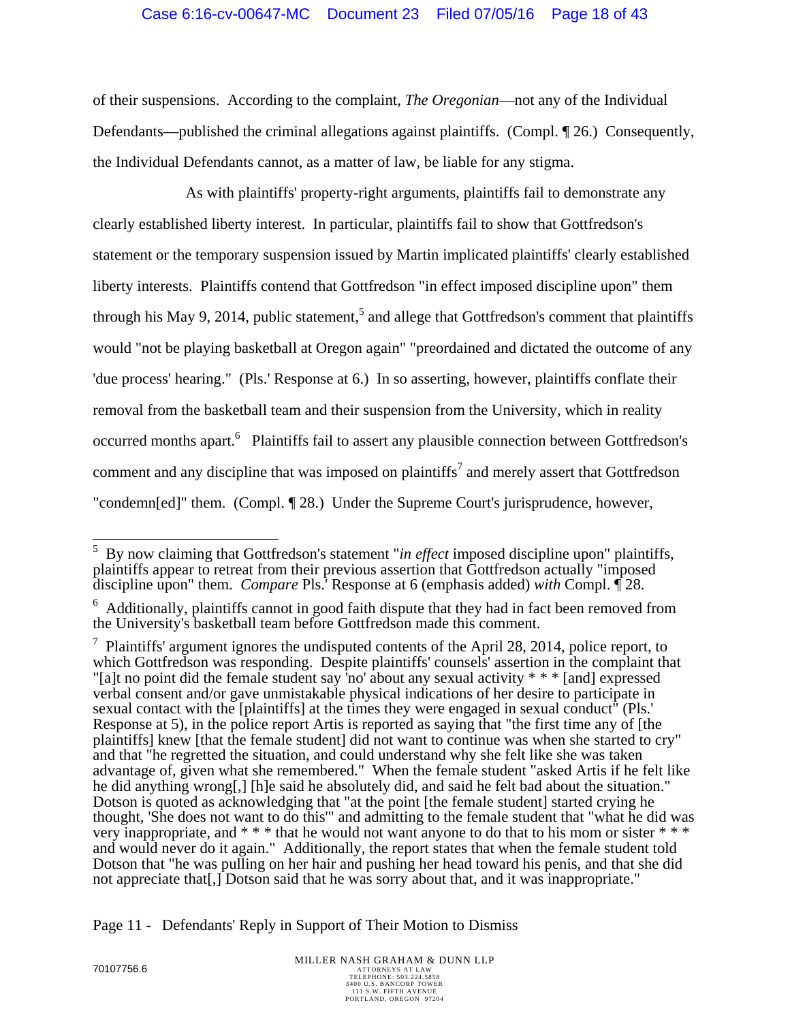## Case 6:16-cv-00647-MC Document 23 Filed 07/05/16 Page 18 of 43

of their suspensions. According to the complaint, *The Oregonian*—not any of the Individual Defendants—published the criminal allegations against plaintiffs. (Compl. ¶ 26.) Consequently, the Individual Defendants cannot, as a matter of law, be liable for any stigma.

As with plaintiffs' property-right arguments, plaintiffs fail to demonstrate any clearly established liberty interest. In particular, plaintiffs fail to show that Gottfredson's statement or the temporary suspension issued by Martin implicated plaintiffs' clearly established liberty interests. Plaintiffs contend that Gottfredson "in effect imposed discipline upon" them through his May 9, 2014, public statement,<sup>5</sup> and allege that Gottfredson's comment that plaintiffs would "not be playing basketball at Oregon again" "preordained and dictated the outcome of any 'due process' hearing." (Pls.' Response at 6.) In so asserting, however, plaintiffs conflate their removal from the basketball team and their suspension from the University, which in reality occurred months apart.<sup>6</sup> Plaintiffs fail to assert any plausible connection between Gottfredson's comment and any discipline that was imposed on plaintiffs<sup>7</sup> and merely assert that Gottfredson "condemn[ed]" them. (Compl. ¶ 28.) Under the Supreme Court's jurisprudence, however,

Page 11 - Defendants' Reply in Support of Their Motion to Dismiss

 $\overline{a}$ 5 By now claiming that Gottfredson's statement "*in effect* imposed discipline upon" plaintiffs, plaintiffs appear to retreat from their previous assertion that Gottfredson actually "imposed discipline upon" them. *Compare* Pls.' Response at 6 (emphasis added) *with* Compl. ¶ 28.

 $6$  Additionally, plaintiffs cannot in good faith dispute that they had in fact been removed from the University's basketball team before Gottfredson made this comment.

 $^7$  Plaintiffs' argument ignores the undisputed contents of the April 28, 2014, police report, to which Gottfredson was responding. Despite plaintiffs' counsels' assertion in the complaint that "[a]t no point did the female student say 'no' about any sexual activity \* \* \* [and] expressed verbal consent and/or gave unmistakable physical indications of her desire to participate in sexual contact with the [plaintiffs] at the times they were engaged in sexual conduct" (Pls.' Response at 5), in the police report Artis is reported as saying that "the first time any of [the plaintiffs] knew [that the female student] did not want to continue was when she started to cry" and that "he regretted the situation, and could understand why she felt like she was taken advantage of, given what she remembered." When the female student "asked Artis if he felt like he did anything wrong[,] [h]e said he absolutely did, and said he felt bad about the situation." Dotson is quoted as acknowledging that "at the point [the female student] started crying he thought, 'She does not want to do this'" and admitting to the female student that "what he did was very inappropriate, and  $* * *$  that he would not want anyone to do that to his mom or sister  $** *$ and would never do it again." Additionally, the report states that when the female student told Dotson that "he was pulling on her hair and pushing her head toward his penis, and that she did not appreciate that[,] Dotson said that he was sorry about that, and it was inappropriate."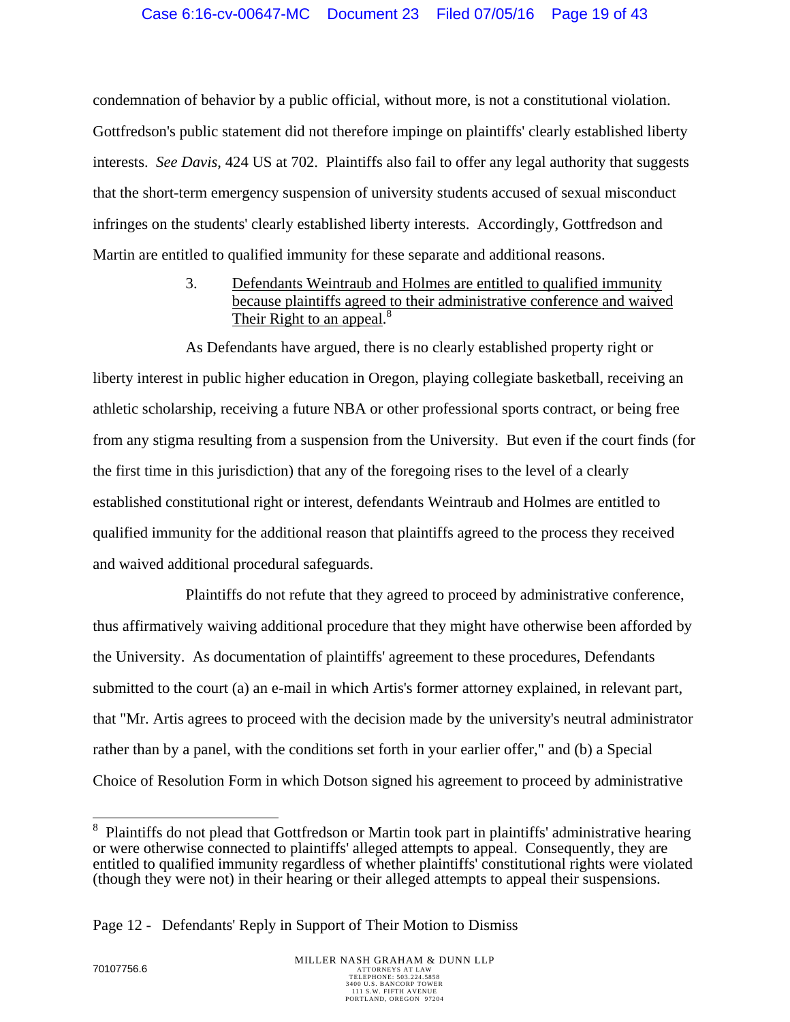condemnation of behavior by a public official, without more, is not a constitutional violation. Gottfredson's public statement did not therefore impinge on plaintiffs' clearly established liberty interests. *See Davis*, 424 US at 702. Plaintiffs also fail to offer any legal authority that suggests that the short-term emergency suspension of university students accused of sexual misconduct infringes on the students' clearly established liberty interests. Accordingly, Gottfredson and Martin are entitled to qualified immunity for these separate and additional reasons.

> 3. Defendants Weintraub and Holmes are entitled to qualified immunity because plaintiffs agreed to their administrative conference and waived Their Right to an appeal.<sup>8</sup>

As Defendants have argued, there is no clearly established property right or liberty interest in public higher education in Oregon, playing collegiate basketball, receiving an athletic scholarship, receiving a future NBA or other professional sports contract, or being free from any stigma resulting from a suspension from the University. But even if the court finds (for the first time in this jurisdiction) that any of the foregoing rises to the level of a clearly established constitutional right or interest, defendants Weintraub and Holmes are entitled to qualified immunity for the additional reason that plaintiffs agreed to the process they received and waived additional procedural safeguards.

Plaintiffs do not refute that they agreed to proceed by administrative conference, thus affirmatively waiving additional procedure that they might have otherwise been afforded by the University. As documentation of plaintiffs' agreement to these procedures, Defendants submitted to the court (a) an e-mail in which Artis's former attorney explained, in relevant part, that "Mr. Artis agrees to proceed with the decision made by the university's neutral administrator rather than by a panel, with the conditions set forth in your earlier offer," and (b) a Special Choice of Resolution Form in which Dotson signed his agreement to proceed by administrative

<sup>&</sup>lt;sup>8</sup> Plaintiffs do not plead that Gottfredson or Martin took part in plaintiffs' administrative hearing or were otherwise connected to plaintiffs' alleged attempts to appeal. Consequently, they are entitled to qualified immunity regardless of whether plaintiffs' constitutional rights were violated (though they were not) in their hearing or their alleged attempts to appeal their suspensions.

Page 12 - Defendants' Reply in Support of Their Motion to Dismiss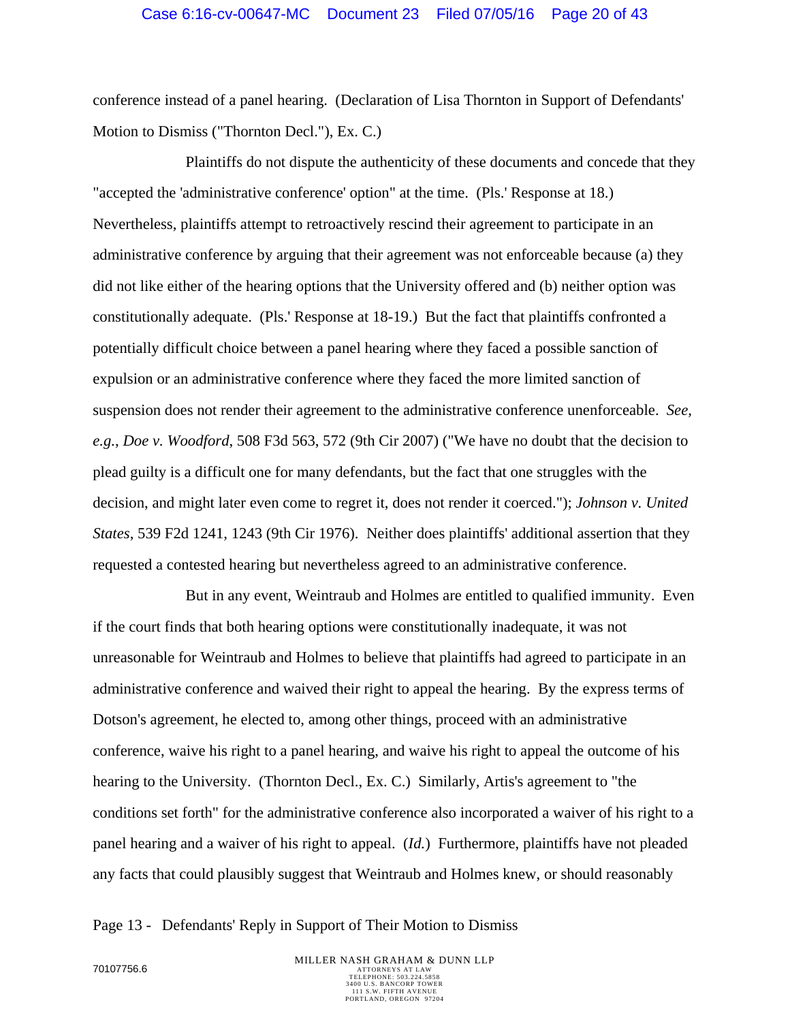conference instead of a panel hearing. (Declaration of Lisa Thornton in Support of Defendants' Motion to Dismiss ("Thornton Decl."), Ex. C.)

Plaintiffs do not dispute the authenticity of these documents and concede that they "accepted the 'administrative conference' option" at the time. (Pls.' Response at 18.) Nevertheless, plaintiffs attempt to retroactively rescind their agreement to participate in an administrative conference by arguing that their agreement was not enforceable because (a) they did not like either of the hearing options that the University offered and (b) neither option was constitutionally adequate. (Pls.' Response at 18-19.) But the fact that plaintiffs confronted a potentially difficult choice between a panel hearing where they faced a possible sanction of expulsion or an administrative conference where they faced the more limited sanction of suspension does not render their agreement to the administrative conference unenforceable. *See, e.g.*, *Doe v. Woodford*, 508 F3d 563, 572 (9th Cir 2007) ("We have no doubt that the decision to plead guilty is a difficult one for many defendants, but the fact that one struggles with the decision, and might later even come to regret it, does not render it coerced."); *Johnson v. United States*, 539 F2d 1241, 1243 (9th Cir 1976). Neither does plaintiffs' additional assertion that they requested a contested hearing but nevertheless agreed to an administrative conference.

But in any event, Weintraub and Holmes are entitled to qualified immunity. Even if the court finds that both hearing options were constitutionally inadequate, it was not unreasonable for Weintraub and Holmes to believe that plaintiffs had agreed to participate in an administrative conference and waived their right to appeal the hearing. By the express terms of Dotson's agreement, he elected to, among other things, proceed with an administrative conference, waive his right to a panel hearing, and waive his right to appeal the outcome of his hearing to the University. (Thornton Decl., Ex. C.) Similarly, Artis's agreement to "the conditions set forth" for the administrative conference also incorporated a waiver of his right to a panel hearing and a waiver of his right to appeal. (*Id.*) Furthermore, plaintiffs have not pleaded any facts that could plausibly suggest that Weintraub and Holmes knew, or should reasonably

Page 13 - Defendants' Reply in Support of Their Motion to Dismiss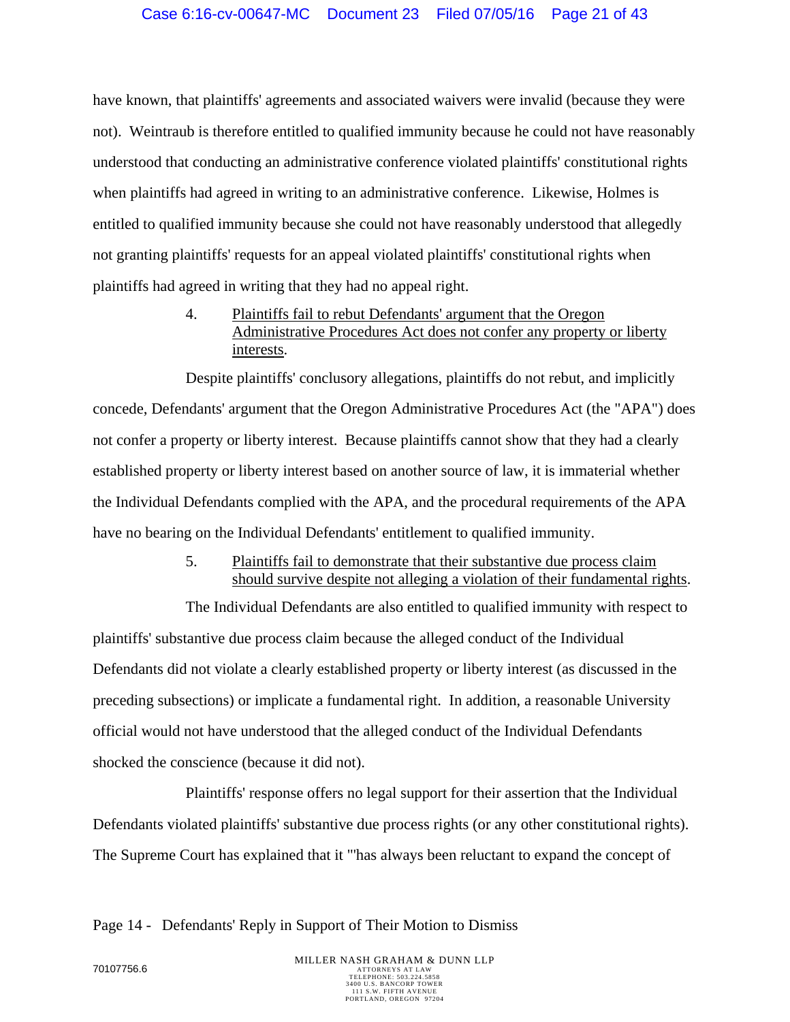have known, that plaintiffs' agreements and associated waivers were invalid (because they were not). Weintraub is therefore entitled to qualified immunity because he could not have reasonably understood that conducting an administrative conference violated plaintiffs' constitutional rights when plaintiffs had agreed in writing to an administrative conference. Likewise, Holmes is entitled to qualified immunity because she could not have reasonably understood that allegedly not granting plaintiffs' requests for an appeal violated plaintiffs' constitutional rights when plaintiffs had agreed in writing that they had no appeal right.

> 4. Plaintiffs fail to rebut Defendants' argument that the Oregon Administrative Procedures Act does not confer any property or liberty interests.

Despite plaintiffs' conclusory allegations, plaintiffs do not rebut, and implicitly concede, Defendants' argument that the Oregon Administrative Procedures Act (the "APA") does not confer a property or liberty interest. Because plaintiffs cannot show that they had a clearly established property or liberty interest based on another source of law, it is immaterial whether the Individual Defendants complied with the APA, and the procedural requirements of the APA have no bearing on the Individual Defendants' entitlement to qualified immunity.

> 5. Plaintiffs fail to demonstrate that their substantive due process claim should survive despite not alleging a violation of their fundamental rights.

The Individual Defendants are also entitled to qualified immunity with respect to plaintiffs' substantive due process claim because the alleged conduct of the Individual Defendants did not violate a clearly established property or liberty interest (as discussed in the preceding subsections) or implicate a fundamental right. In addition, a reasonable University official would not have understood that the alleged conduct of the Individual Defendants shocked the conscience (because it did not).

Plaintiffs' response offers no legal support for their assertion that the Individual Defendants violated plaintiffs' substantive due process rights (or any other constitutional rights). The Supreme Court has explained that it "'has always been reluctant to expand the concept of

Page 14 - Defendants' Reply in Support of Their Motion to Dismiss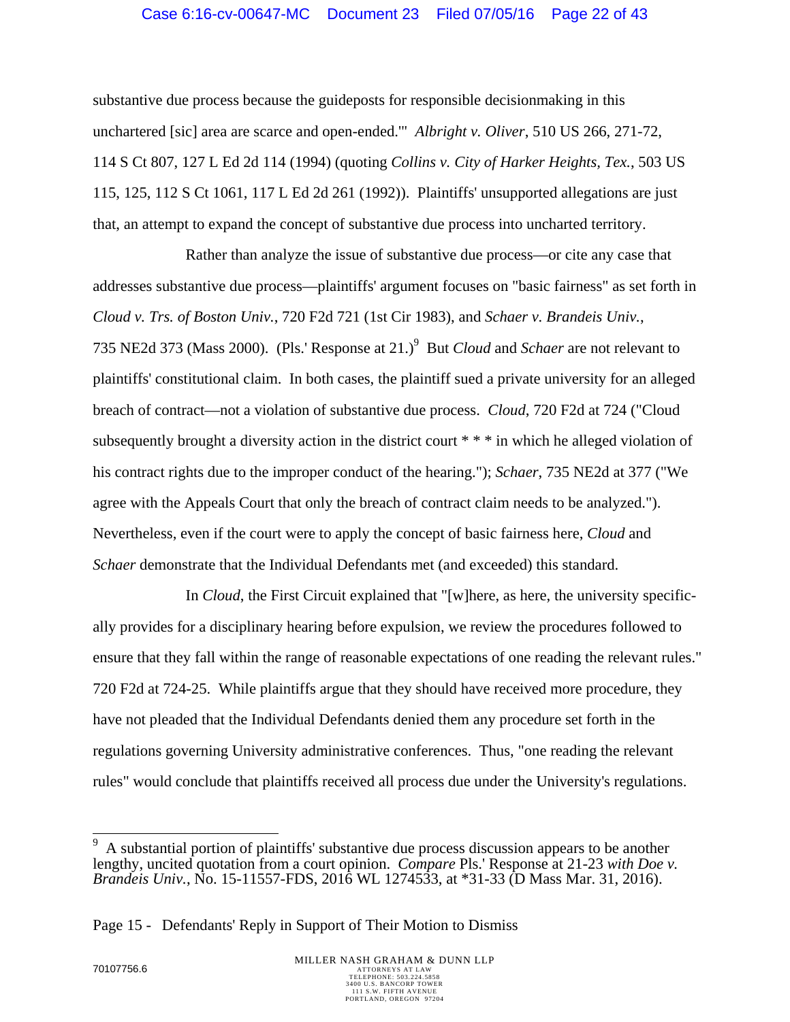### Case 6:16-cv-00647-MC Document 23 Filed 07/05/16 Page 22 of 43

substantive due process because the guideposts for responsible decisionmaking in this unchartered [sic] area are scarce and open-ended.'" *Albright v. Oliver*, 510 US 266, 271-72, 114 S Ct 807, 127 L Ed 2d 114 (1994) (quoting *Collins v. City of Harker Heights, Tex.*, 503 US 115, 125, 112 S Ct 1061, 117 L Ed 2d 261 (1992)). Plaintiffs' unsupported allegations are just that, an attempt to expand the concept of substantive due process into uncharted territory.

Rather than analyze the issue of substantive due process—or cite any case that addresses substantive due process—plaintiffs' argument focuses on "basic fairness" as set forth in *Cloud v. Trs. of Boston Univ.*, 720 F2d 721 (1st Cir 1983), and *Schaer v. Brandeis Univ.*, 735 NE2d 373 (Mass 2000). (Pls.' Response at 21.)<sup>9</sup> But *Cloud* and *Schaer* are not relevant to plaintiffs' constitutional claim. In both cases, the plaintiff sued a private university for an alleged breach of contract—not a violation of substantive due process. *Cloud*, 720 F2d at 724 ("Cloud subsequently brought a diversity action in the district court \* \* \* in which he alleged violation of his contract rights due to the improper conduct of the hearing."); *Schaer*, 735 NE2d at 377 ("We agree with the Appeals Court that only the breach of contract claim needs to be analyzed."). Nevertheless, even if the court were to apply the concept of basic fairness here, *Cloud* and *Schaer* demonstrate that the Individual Defendants met (and exceeded) this standard.

In *Cloud*, the First Circuit explained that "[w]here, as here, the university specifically provides for a disciplinary hearing before expulsion, we review the procedures followed to ensure that they fall within the range of reasonable expectations of one reading the relevant rules." 720 F2d at 724-25. While plaintiffs argue that they should have received more procedure, they have not pleaded that the Individual Defendants denied them any procedure set forth in the regulations governing University administrative conferences. Thus, "one reading the relevant rules" would conclude that plaintiffs received all process due under the University's regulations.

 $\overline{\phantom{0}}$ 9 A substantial portion of plaintiffs' substantive due process discussion appears to be another lengthy, uncited quotation from a court opinion. *Compare* Pls.' Response at 21-23 *with Doe v. Brandeis Univ.*, No. 15-11557-FDS, 2016 WL 1274533, at \*31-33 (D Mass Mar. 31, 2016).

Page 15 - Defendants' Reply in Support of Their Motion to Dismiss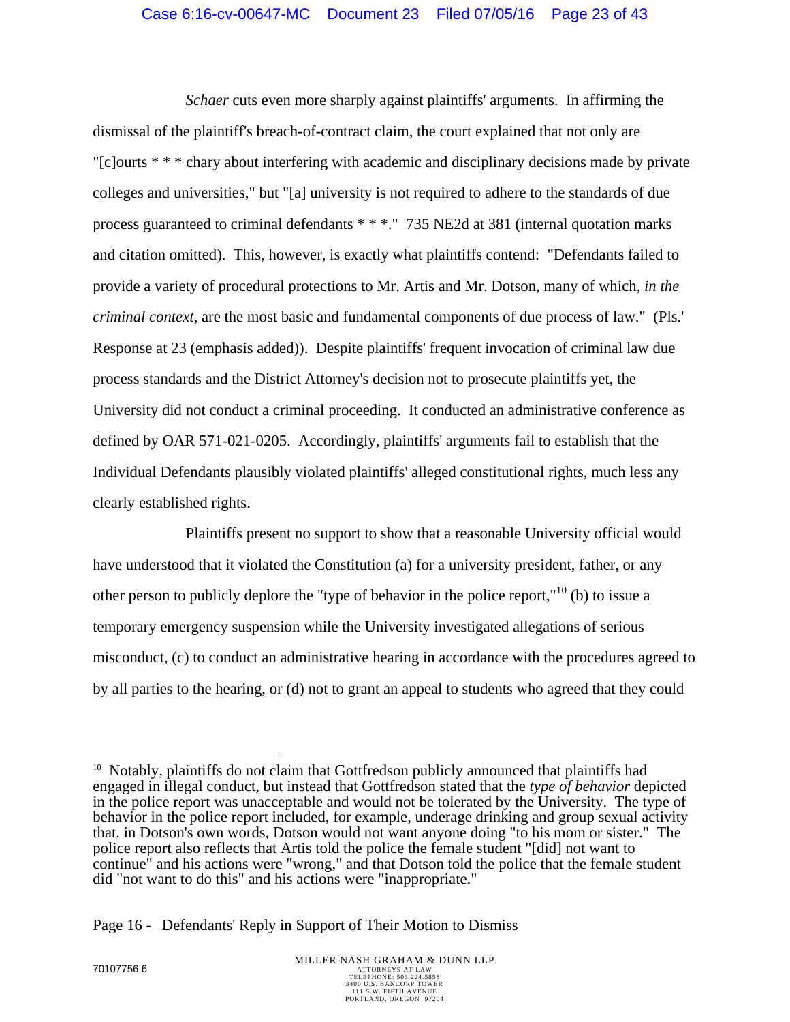## Case 6:16-cv-00647-MC Document 23 Filed 07/05/16 Page 23 of 43

*Schaer* cuts even more sharply against plaintiffs' arguments. In affirming the dismissal of the plaintiff's breach-of-contract claim, the court explained that not only are "[c]ourts \* \* \* chary about interfering with academic and disciplinary decisions made by private colleges and universities," but "[a] university is not required to adhere to the standards of due process guaranteed to criminal defendants \* \* \*." 735 NE2d at 381 (internal quotation marks and citation omitted). This, however, is exactly what plaintiffs contend: "Defendants failed to provide a variety of procedural protections to Mr. Artis and Mr. Dotson, many of which, *in the criminal context*, are the most basic and fundamental components of due process of law." (Pls.' Response at 23 (emphasis added)). Despite plaintiffs' frequent invocation of criminal law due process standards and the District Attorney's decision not to prosecute plaintiffs yet, the University did not conduct a criminal proceeding. It conducted an administrative conference as defined by OAR 571-021-0205. Accordingly, plaintiffs' arguments fail to establish that the Individual Defendants plausibly violated plaintiffs' alleged constitutional rights, much less any clearly established rights.

Plaintiffs present no support to show that a reasonable University official would have understood that it violated the Constitution (a) for a university president, father, or any other person to publicly deplore the "type of behavior in the police report,"<sup>10</sup> (b) to issue a temporary emergency suspension while the University investigated allegations of serious misconduct, (c) to conduct an administrative hearing in accordance with the procedures agreed to by all parties to the hearing, or (d) not to grant an appeal to students who agreed that they could

 $\overline{a}$ 

<sup>&</sup>lt;sup>10</sup> Notably, plaintiffs do not claim that Gottfredson publicly announced that plaintiffs had engaged in illegal conduct, but instead that Gottfredson stated that the *type of behavior* depicted in the police report was unacceptable and would not be tolerated by the University. The type of behavior in the police report included, for example, underage drinking and group sexual activity that, in Dotson's own words, Dotson would not want anyone doing "to his mom or sister." The police report also reflects that Artis told the police the female student "[did] not want to continue" and his actions were "wrong," and that Dotson told the police that the female student did "not want to do this" and his actions were "inappropriate."

Page 16 - Defendants' Reply in Support of Their Motion to Dismiss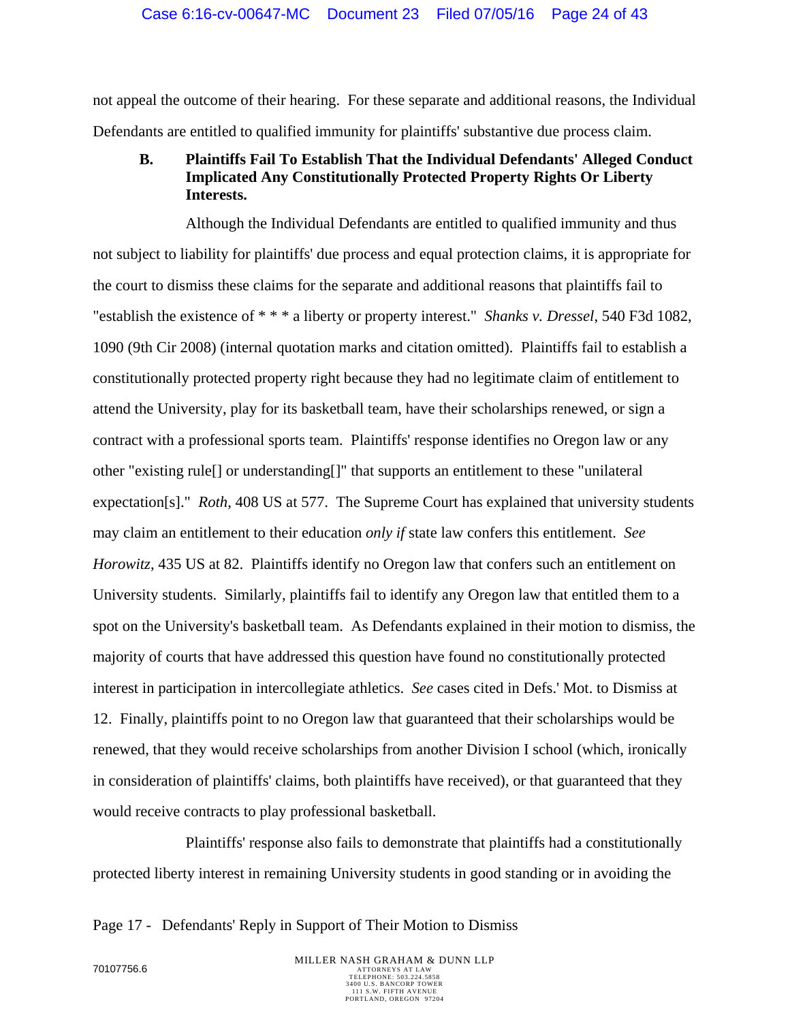not appeal the outcome of their hearing. For these separate and additional reasons, the Individual Defendants are entitled to qualified immunity for plaintiffs' substantive due process claim.

# **B. Plaintiffs Fail To Establish That the Individual Defendants' Alleged Conduct Implicated Any Constitutionally Protected Property Rights Or Liberty Interests.**

Although the Individual Defendants are entitled to qualified immunity and thus not subject to liability for plaintiffs' due process and equal protection claims, it is appropriate for the court to dismiss these claims for the separate and additional reasons that plaintiffs fail to "establish the existence of \* \* \* a liberty or property interest." *Shanks v. Dressel*, 540 F3d 1082, 1090 (9th Cir 2008) (internal quotation marks and citation omitted). Plaintiffs fail to establish a constitutionally protected property right because they had no legitimate claim of entitlement to attend the University, play for its basketball team, have their scholarships renewed, or sign a contract with a professional sports team. Plaintiffs' response identifies no Oregon law or any other "existing rule[] or understanding[]" that supports an entitlement to these "unilateral expectation[s]." *Roth*, 408 US at 577. The Supreme Court has explained that university students may claim an entitlement to their education *only if* state law confers this entitlement. *See Horowitz*, 435 US at 82. Plaintiffs identify no Oregon law that confers such an entitlement on University students. Similarly, plaintiffs fail to identify any Oregon law that entitled them to a spot on the University's basketball team. As Defendants explained in their motion to dismiss, the majority of courts that have addressed this question have found no constitutionally protected interest in participation in intercollegiate athletics. *See* cases cited in Defs.' Mot. to Dismiss at 12. Finally, plaintiffs point to no Oregon law that guaranteed that their scholarships would be renewed, that they would receive scholarships from another Division I school (which, ironically in consideration of plaintiffs' claims, both plaintiffs have received), or that guaranteed that they would receive contracts to play professional basketball.

Plaintiffs' response also fails to demonstrate that plaintiffs had a constitutionally protected liberty interest in remaining University students in good standing or in avoiding the

Page 17 - Defendants' Reply in Support of Their Motion to Dismiss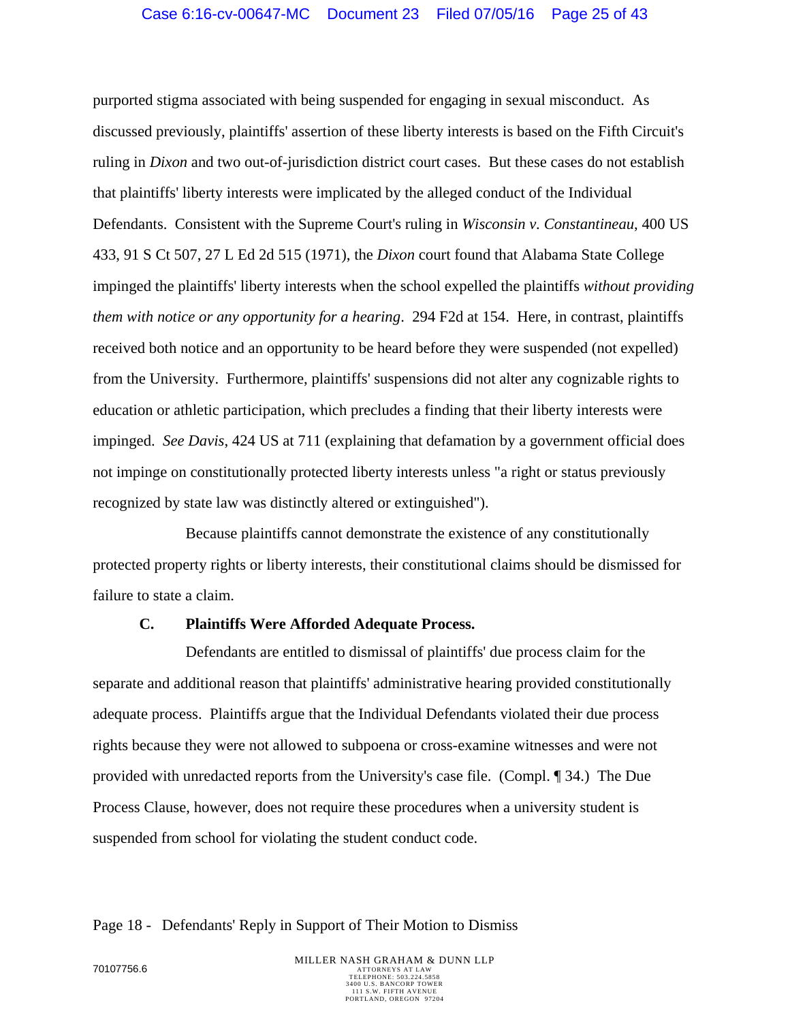purported stigma associated with being suspended for engaging in sexual misconduct. As discussed previously, plaintiffs' assertion of these liberty interests is based on the Fifth Circuit's ruling in *Dixon* and two out-of-jurisdiction district court cases. But these cases do not establish that plaintiffs' liberty interests were implicated by the alleged conduct of the Individual Defendants. Consistent with the Supreme Court's ruling in *Wisconsin v. Constantineau*, 400 US 433, 91 S Ct 507, 27 L Ed 2d 515 (1971), the *Dixon* court found that Alabama State College impinged the plaintiffs' liberty interests when the school expelled the plaintiffs *without providing them with notice or any opportunity for a hearing*. 294 F2d at 154. Here, in contrast, plaintiffs received both notice and an opportunity to be heard before they were suspended (not expelled) from the University. Furthermore, plaintiffs' suspensions did not alter any cognizable rights to education or athletic participation, which precludes a finding that their liberty interests were impinged. *See Davis*, 424 US at 711 (explaining that defamation by a government official does not impinge on constitutionally protected liberty interests unless "a right or status previously recognized by state law was distinctly altered or extinguished").

Because plaintiffs cannot demonstrate the existence of any constitutionally protected property rights or liberty interests, their constitutional claims should be dismissed for failure to state a claim.

#### **C. Plaintiffs Were Afforded Adequate Process.**

Defendants are entitled to dismissal of plaintiffs' due process claim for the separate and additional reason that plaintiffs' administrative hearing provided constitutionally adequate process. Plaintiffs argue that the Individual Defendants violated their due process rights because they were not allowed to subpoena or cross-examine witnesses and were not provided with unredacted reports from the University's case file. (Compl. ¶ 34.) The Due Process Clause, however, does not require these procedures when a university student is suspended from school for violating the student conduct code.

#### Page 18 - Defendants' Reply in Support of Their Motion to Dismiss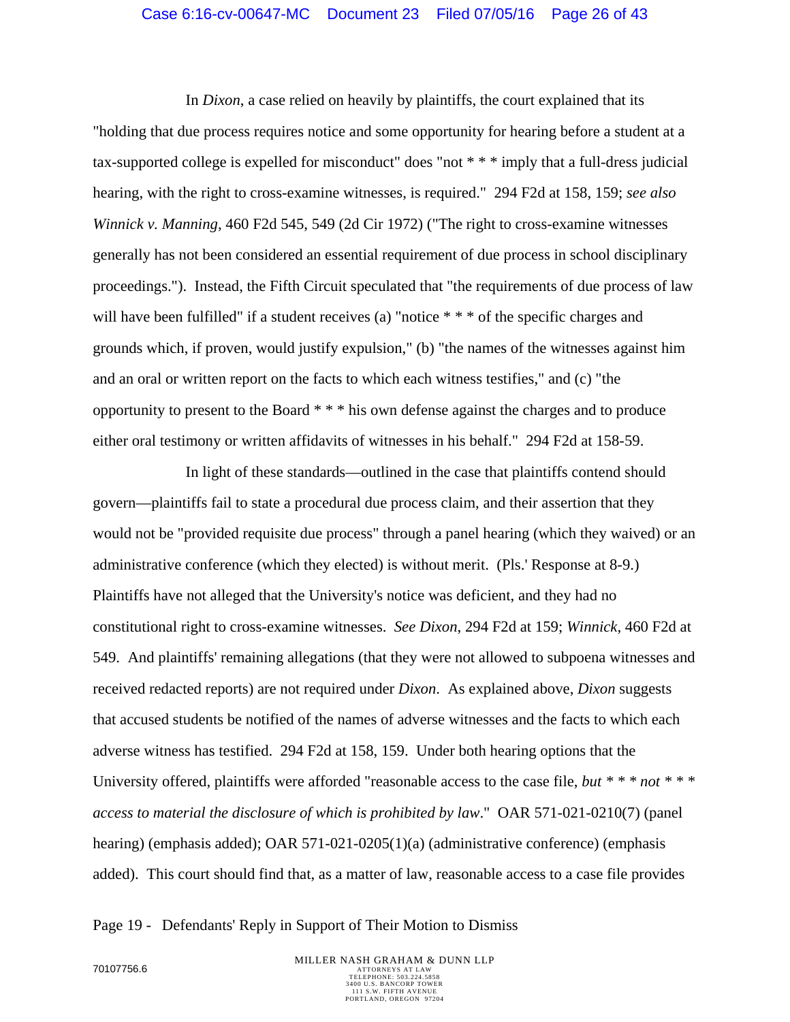#### Case 6:16-cv-00647-MC Document 23 Filed 07/05/16 Page 26 of 43

In *Dixon*, a case relied on heavily by plaintiffs, the court explained that its "holding that due process requires notice and some opportunity for hearing before a student at a tax-supported college is expelled for misconduct" does "not \* \* \* imply that a full-dress judicial hearing, with the right to cross-examine witnesses, is required." 294 F2d at 158, 159; *see also Winnick v. Manning*, 460 F2d 545, 549 (2d Cir 1972) ("The right to cross-examine witnesses generally has not been considered an essential requirement of due process in school disciplinary proceedings."). Instead, the Fifth Circuit speculated that "the requirements of due process of law will have been fulfilled" if a student receives (a) "notice \* \* \* of the specific charges and grounds which, if proven, would justify expulsion," (b) "the names of the witnesses against him and an oral or written report on the facts to which each witness testifies," and (c) "the opportunity to present to the Board \* \* \* his own defense against the charges and to produce either oral testimony or written affidavits of witnesses in his behalf." 294 F2d at 158-59.

In light of these standards—outlined in the case that plaintiffs contend should govern—plaintiffs fail to state a procedural due process claim, and their assertion that they would not be "provided requisite due process" through a panel hearing (which they waived) or an administrative conference (which they elected) is without merit. (Pls.' Response at 8-9.) Plaintiffs have not alleged that the University's notice was deficient, and they had no constitutional right to cross-examine witnesses. *See Dixon*, 294 F2d at 159; *Winnick*, 460 F2d at 549. And plaintiffs' remaining allegations (that they were not allowed to subpoena witnesses and received redacted reports) are not required under *Dixon*. As explained above, *Dixon* suggests that accused students be notified of the names of adverse witnesses and the facts to which each adverse witness has testified. 294 F2d at 158, 159. Under both hearing options that the University offered, plaintiffs were afforded "reasonable access to the case file, *but \* \* \* not \* \* \* access to material the disclosure of which is prohibited by law*." OAR 571-021-0210(7) (panel hearing) (emphasis added); OAR 571-021-0205(1)(a) (administrative conference) (emphasis added). This court should find that, as a matter of law, reasonable access to a case file provides

Page 19 - Defendants' Reply in Support of Their Motion to Dismiss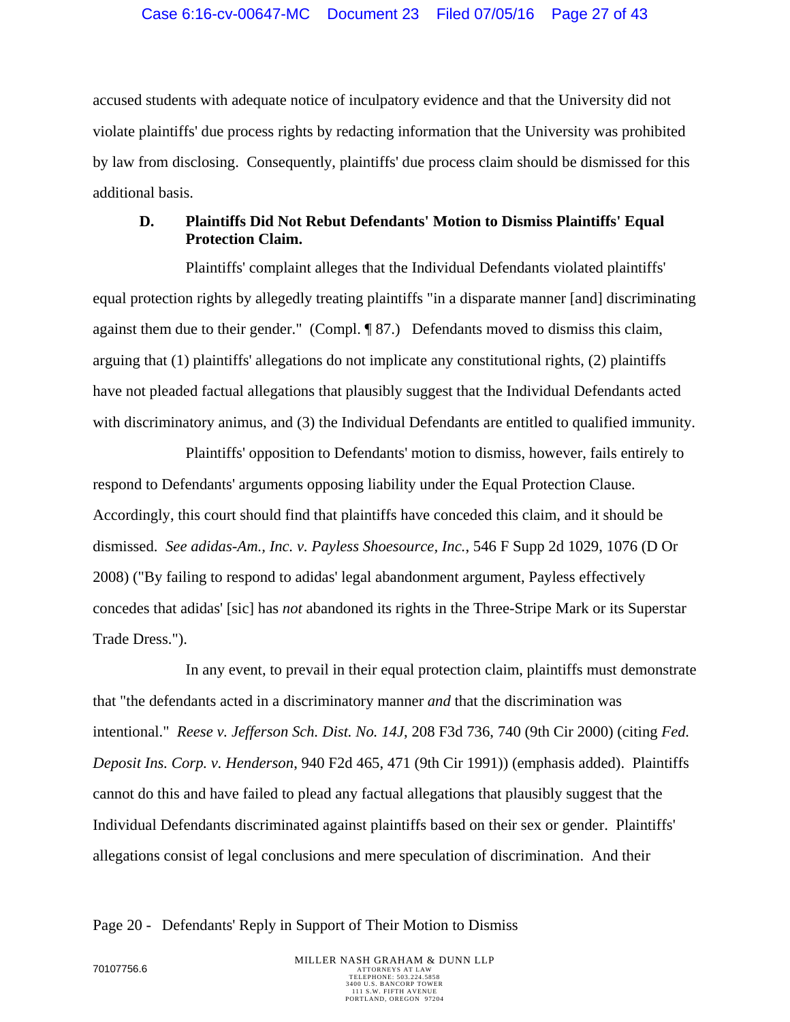accused students with adequate notice of inculpatory evidence and that the University did not violate plaintiffs' due process rights by redacting information that the University was prohibited by law from disclosing. Consequently, plaintiffs' due process claim should be dismissed for this additional basis.

## **D. Plaintiffs Did Not Rebut Defendants' Motion to Dismiss Plaintiffs' Equal Protection Claim.**

Plaintiffs' complaint alleges that the Individual Defendants violated plaintiffs' equal protection rights by allegedly treating plaintiffs "in a disparate manner [and] discriminating against them due to their gender." (Compl. ¶ 87.) Defendants moved to dismiss this claim, arguing that (1) plaintiffs' allegations do not implicate any constitutional rights, (2) plaintiffs have not pleaded factual allegations that plausibly suggest that the Individual Defendants acted with discriminatory animus, and (3) the Individual Defendants are entitled to qualified immunity.

Plaintiffs' opposition to Defendants' motion to dismiss, however, fails entirely to respond to Defendants' arguments opposing liability under the Equal Protection Clause. Accordingly, this court should find that plaintiffs have conceded this claim, and it should be dismissed. *See adidas-Am., Inc. v. Payless Shoesource, Inc.*, 546 F Supp 2d 1029, 1076 (D Or 2008) ("By failing to respond to adidas' legal abandonment argument, Payless effectively concedes that adidas' [sic] has *not* abandoned its rights in the Three-Stripe Mark or its Superstar Trade Dress.").

In any event, to prevail in their equal protection claim, plaintiffs must demonstrate that "the defendants acted in a discriminatory manner *and* that the discrimination was intentional." *Reese v. Jefferson Sch. Dist. No. 14J*, 208 F3d 736, 740 (9th Cir 2000) (citing *Fed. Deposit Ins. Corp. v. Henderson*, 940 F2d 465, 471 (9th Cir 1991)) (emphasis added). Plaintiffs cannot do this and have failed to plead any factual allegations that plausibly suggest that the Individual Defendants discriminated against plaintiffs based on their sex or gender. Plaintiffs' allegations consist of legal conclusions and mere speculation of discrimination. And their

Page 20 - Defendants' Reply in Support of Their Motion to Dismiss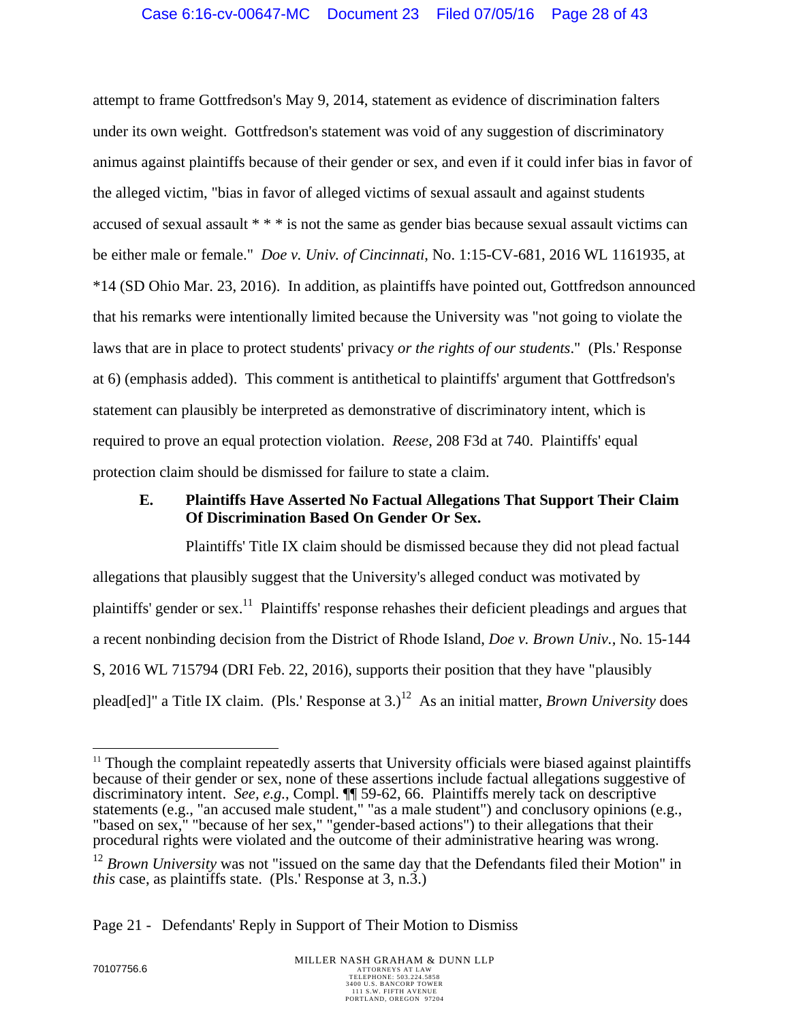attempt to frame Gottfredson's May 9, 2014, statement as evidence of discrimination falters under its own weight. Gottfredson's statement was void of any suggestion of discriminatory animus against plaintiffs because of their gender or sex, and even if it could infer bias in favor of the alleged victim, "bias in favor of alleged victims of sexual assault and against students accused of sexual assault \* \* \* is not the same as gender bias because sexual assault victims can be either male or female." *Doe v. Univ. of Cincinnati*, No. 1:15-CV-681, 2016 WL 1161935, at \*14 (SD Ohio Mar. 23, 2016). In addition, as plaintiffs have pointed out, Gottfredson announced that his remarks were intentionally limited because the University was "not going to violate the laws that are in place to protect students' privacy *or the rights of our students*." (Pls.' Response at 6) (emphasis added). This comment is antithetical to plaintiffs' argument that Gottfredson's statement can plausibly be interpreted as demonstrative of discriminatory intent, which is required to prove an equal protection violation. *Reese*, 208 F3d at 740. Plaintiffs' equal protection claim should be dismissed for failure to state a claim.

## **E. Plaintiffs Have Asserted No Factual Allegations That Support Their Claim Of Discrimination Based On Gender Or Sex.**

Plaintiffs' Title IX claim should be dismissed because they did not plead factual allegations that plausibly suggest that the University's alleged conduct was motivated by plaintiffs' gender or sex.<sup>11</sup> Plaintiffs' response rehashes their deficient pleadings and argues that a recent nonbinding decision from the District of Rhode Island, *Doe v. Brown Univ.*, No. 15-144 S, 2016 WL 715794 (DRI Feb. 22, 2016), supports their position that they have "plausibly plead[ed]" a Title IX claim. (Pls.' Response at 3.)<sup>12</sup> As an initial matter, *Brown University* does

Page 21 - Defendants' Reply in Support of Their Motion to Dismiss

 $\overline{a}$ 

<sup>&</sup>lt;sup>11</sup> Though the complaint repeatedly asserts that University officials were biased against plaintiffs because of their gender or sex, none of these assertions include factual allegations suggestive of discriminatory intent. *See, e.g.*, Compl. ¶¶ 59-62, 66. Plaintiffs merely tack on descriptive statements (e.g., "an accused male student," "as a male student") and conclusory opinions (e.g., "based on sex," "because of her sex," "gender-based actions") to their allegations that their procedural rights were violated and the outcome of their administrative hearing was wrong.

<sup>&</sup>lt;sup>12</sup> *Brown University* was not "issued on the same day that the Defendants filed their Motion" in *this* case, as plaintiffs state. (Pls.' Response at 3, n.3.)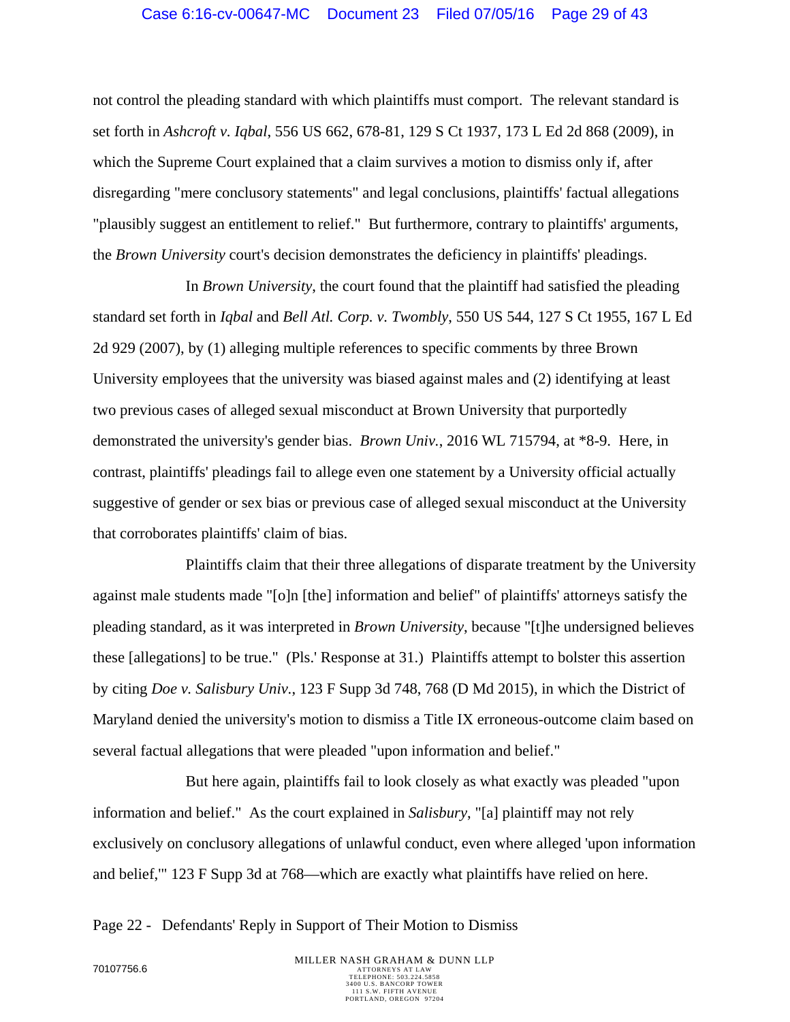#### Case 6:16-cv-00647-MC Document 23 Filed 07/05/16 Page 29 of 43

not control the pleading standard with which plaintiffs must comport. The relevant standard is set forth in *Ashcroft v. Iqbal*, 556 US 662, 678-81, 129 S Ct 1937, 173 L Ed 2d 868 (2009), in which the Supreme Court explained that a claim survives a motion to dismiss only if, after disregarding "mere conclusory statements" and legal conclusions, plaintiffs' factual allegations "plausibly suggest an entitlement to relief." But furthermore, contrary to plaintiffs' arguments, the *Brown University* court's decision demonstrates the deficiency in plaintiffs' pleadings.

In *Brown University*, the court found that the plaintiff had satisfied the pleading standard set forth in *Iqbal* and *Bell Atl. Corp. v. Twombly*, 550 US 544, 127 S Ct 1955, 167 L Ed 2d 929 (2007), by (1) alleging multiple references to specific comments by three Brown University employees that the university was biased against males and (2) identifying at least two previous cases of alleged sexual misconduct at Brown University that purportedly demonstrated the university's gender bias. *Brown Univ.*, 2016 WL 715794, at \*8-9. Here, in contrast, plaintiffs' pleadings fail to allege even one statement by a University official actually suggestive of gender or sex bias or previous case of alleged sexual misconduct at the University that corroborates plaintiffs' claim of bias.

Plaintiffs claim that their three allegations of disparate treatment by the University against male students made "[o]n [the] information and belief" of plaintiffs' attorneys satisfy the pleading standard, as it was interpreted in *Brown University*, because "[t]he undersigned believes these [allegations] to be true." (Pls.' Response at 31.) Plaintiffs attempt to bolster this assertion by citing *Doe v. Salisbury Univ.*, 123 F Supp 3d 748, 768 (D Md 2015), in which the District of Maryland denied the university's motion to dismiss a Title IX erroneous-outcome claim based on several factual allegations that were pleaded "upon information and belief."

But here again, plaintiffs fail to look closely as what exactly was pleaded "upon information and belief." As the court explained in *Salisbury*, "[a] plaintiff may not rely exclusively on conclusory allegations of unlawful conduct, even where alleged 'upon information and belief,'" 123 F Supp 3d at 768—which are exactly what plaintiffs have relied on here.

Page 22 - Defendants' Reply in Support of Their Motion to Dismiss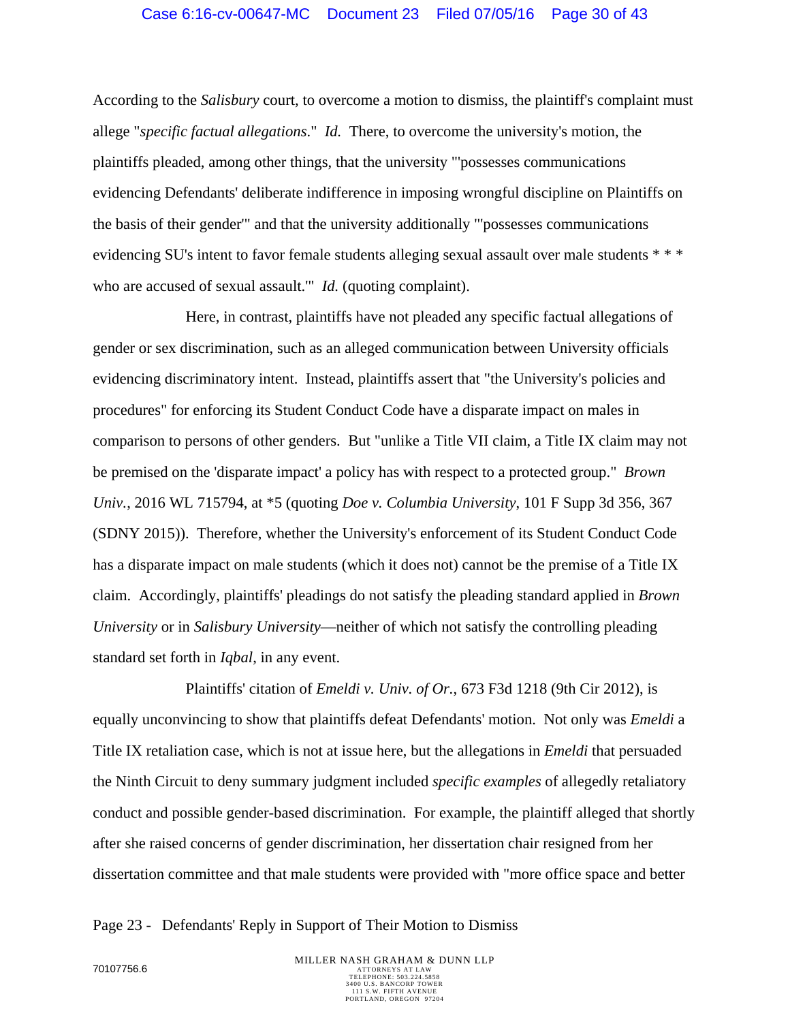#### Case 6:16-cv-00647-MC Document 23 Filed 07/05/16 Page 30 of 43

According to the *Salisbury* court, to overcome a motion to dismiss, the plaintiff's complaint must allege "*specific factual allegations*." *Id.* There, to overcome the university's motion, the plaintiffs pleaded, among other things, that the university "'possesses communications evidencing Defendants' deliberate indifference in imposing wrongful discipline on Plaintiffs on the basis of their gender'" and that the university additionally "'possesses communications evidencing SU's intent to favor female students alleging sexual assault over male students \* \* \* who are accused of sexual assault." *Id.* (quoting complaint).

Here, in contrast, plaintiffs have not pleaded any specific factual allegations of gender or sex discrimination, such as an alleged communication between University officials evidencing discriminatory intent. Instead, plaintiffs assert that "the University's policies and procedures" for enforcing its Student Conduct Code have a disparate impact on males in comparison to persons of other genders. But "unlike a Title VII claim, a Title IX claim may not be premised on the 'disparate impact' a policy has with respect to a protected group." *Brown Univ.*, 2016 WL 715794, at \*5 (quoting *Doe v. Columbia University*, 101 F Supp 3d 356, 367 (SDNY 2015)). Therefore, whether the University's enforcement of its Student Conduct Code has a disparate impact on male students (which it does not) cannot be the premise of a Title IX claim. Accordingly, plaintiffs' pleadings do not satisfy the pleading standard applied in *Brown University* or in *Salisbury University*—neither of which not satisfy the controlling pleading standard set forth in *Iqbal*, in any event.

Plaintiffs' citation of *Emeldi v. Univ. of Or.*, 673 F3d 1218 (9th Cir 2012), is equally unconvincing to show that plaintiffs defeat Defendants' motion. Not only was *Emeldi* a Title IX retaliation case, which is not at issue here, but the allegations in *Emeldi* that persuaded the Ninth Circuit to deny summary judgment included *specific examples* of allegedly retaliatory conduct and possible gender-based discrimination. For example, the plaintiff alleged that shortly after she raised concerns of gender discrimination, her dissertation chair resigned from her dissertation committee and that male students were provided with "more office space and better

Page 23 - Defendants' Reply in Support of Their Motion to Dismiss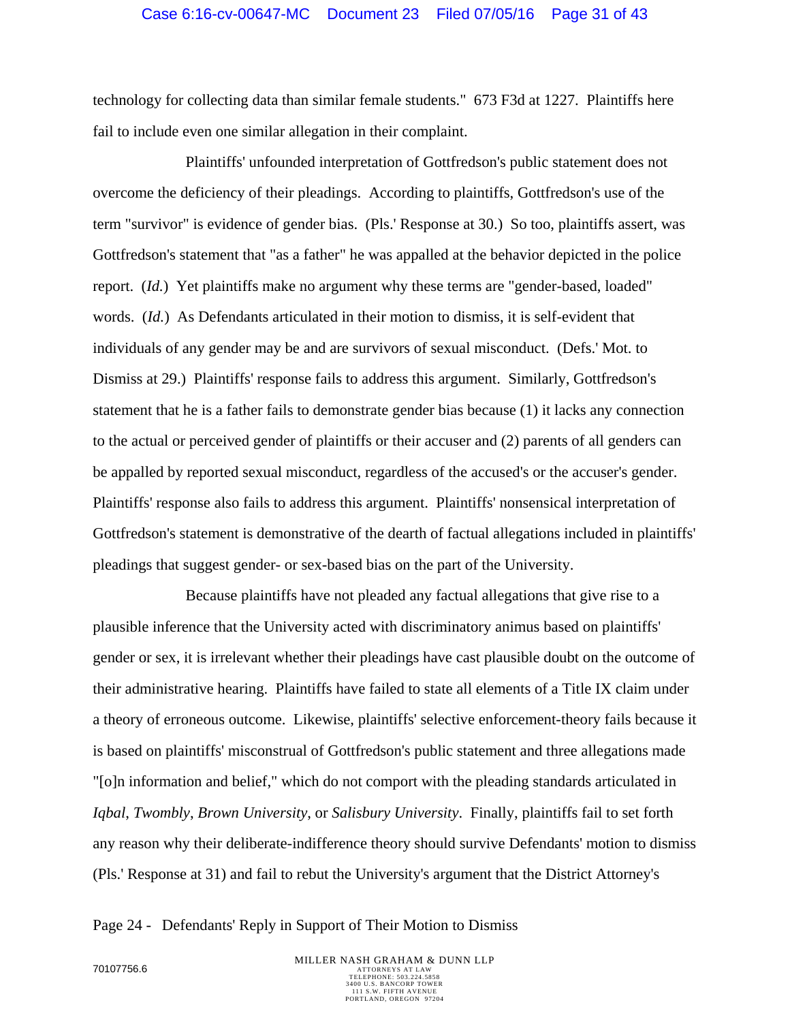#### Case 6:16-cv-00647-MC Document 23 Filed 07/05/16 Page 31 of 43

technology for collecting data than similar female students." 673 F3d at 1227. Plaintiffs here fail to include even one similar allegation in their complaint.

Plaintiffs' unfounded interpretation of Gottfredson's public statement does not overcome the deficiency of their pleadings. According to plaintiffs, Gottfredson's use of the term "survivor" is evidence of gender bias. (Pls.' Response at 30.) So too, plaintiffs assert, was Gottfredson's statement that "as a father" he was appalled at the behavior depicted in the police report. (*Id.*) Yet plaintiffs make no argument why these terms are "gender-based, loaded" words. (*Id.*) As Defendants articulated in their motion to dismiss, it is self-evident that individuals of any gender may be and are survivors of sexual misconduct. (Defs.' Mot. to Dismiss at 29.) Plaintiffs' response fails to address this argument. Similarly, Gottfredson's statement that he is a father fails to demonstrate gender bias because (1) it lacks any connection to the actual or perceived gender of plaintiffs or their accuser and (2) parents of all genders can be appalled by reported sexual misconduct, regardless of the accused's or the accuser's gender. Plaintiffs' response also fails to address this argument. Plaintiffs' nonsensical interpretation of Gottfredson's statement is demonstrative of the dearth of factual allegations included in plaintiffs' pleadings that suggest gender- or sex-based bias on the part of the University.

Because plaintiffs have not pleaded any factual allegations that give rise to a plausible inference that the University acted with discriminatory animus based on plaintiffs' gender or sex, it is irrelevant whether their pleadings have cast plausible doubt on the outcome of their administrative hearing. Plaintiffs have failed to state all elements of a Title IX claim under a theory of erroneous outcome. Likewise, plaintiffs' selective enforcement-theory fails because it is based on plaintiffs' misconstrual of Gottfredson's public statement and three allegations made "[o]n information and belief," which do not comport with the pleading standards articulated in *Iqbal*, *Twombly*, *Brown University*, or *Salisbury University*. Finally, plaintiffs fail to set forth any reason why their deliberate-indifference theory should survive Defendants' motion to dismiss (Pls.' Response at 31) and fail to rebut the University's argument that the District Attorney's

Page 24 - Defendants' Reply in Support of Their Motion to Dismiss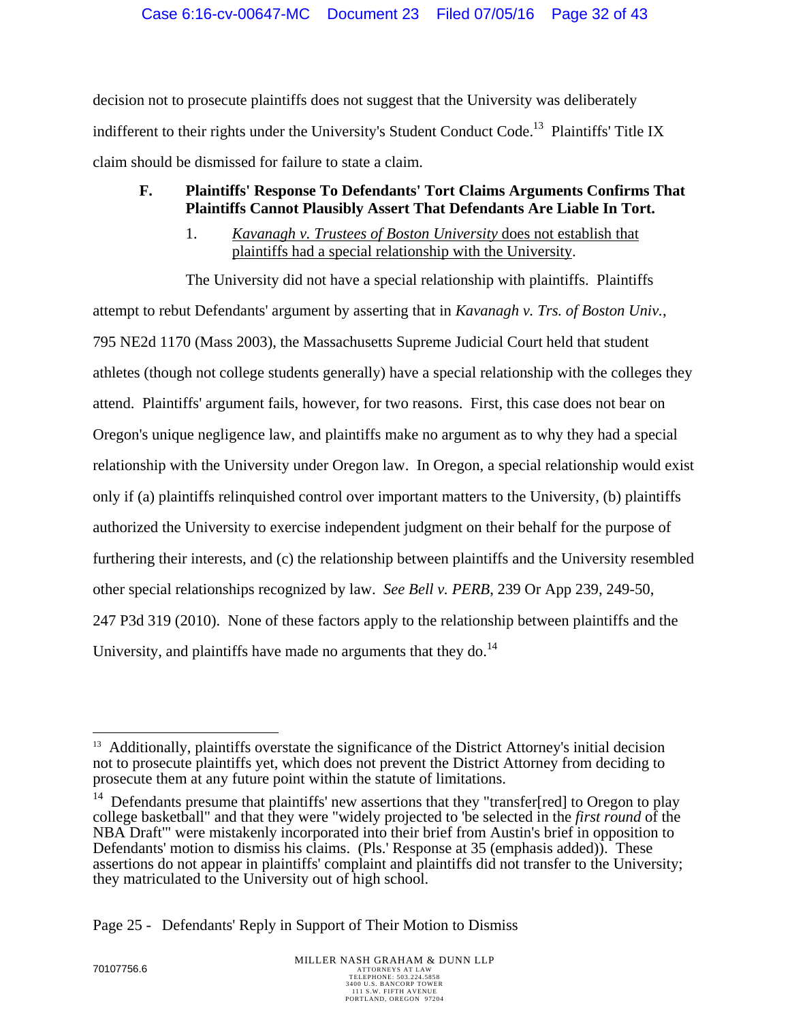decision not to prosecute plaintiffs does not suggest that the University was deliberately indifferent to their rights under the University's Student Conduct Code.<sup>13</sup> Plaintiffs' Title IX claim should be dismissed for failure to state a claim.

# **F. Plaintiffs' Response To Defendants' Tort Claims Arguments Confirms That Plaintiffs Cannot Plausibly Assert That Defendants Are Liable In Tort.**

1. *Kavanagh v. Trustees of Boston University* does not establish that plaintiffs had a special relationship with the University.

The University did not have a special relationship with plaintiffs. Plaintiffs attempt to rebut Defendants' argument by asserting that in *Kavanagh v. Trs. of Boston Univ.*, 795 NE2d 1170 (Mass 2003), the Massachusetts Supreme Judicial Court held that student athletes (though not college students generally) have a special relationship with the colleges they attend. Plaintiffs' argument fails, however, for two reasons. First, this case does not bear on Oregon's unique negligence law, and plaintiffs make no argument as to why they had a special relationship with the University under Oregon law. In Oregon, a special relationship would exist only if (a) plaintiffs relinquished control over important matters to the University, (b) plaintiffs authorized the University to exercise independent judgment on their behalf for the purpose of furthering their interests, and (c) the relationship between plaintiffs and the University resembled other special relationships recognized by law. *See Bell v. PERB*, 239 Or App 239, 249-50, 247 P3d 319 (2010). None of these factors apply to the relationship between plaintiffs and the University, and plaintiffs have made no arguments that they do.<sup>14</sup>

 $\overline{a}$ <sup>13</sup> Additionally, plaintiffs overstate the significance of the District Attorney's initial decision not to prosecute plaintiffs yet, which does not prevent the District Attorney from deciding to prosecute them at any future point within the statute of limitations.

<sup>&</sup>lt;sup>14</sup> Defendants presume that plaintiffs' new assertions that they "transfer[red] to Oregon to play college basketball" and that they were "widely projected to 'be selected in the *first round* of the NBA Draft'" were mistakenly incorporated into their brief from Austin's brief in opposition to Defendants' motion to dismiss his claims. (Pls.' Response at 35 (emphasis added)). These assertions do not appear in plaintiffs' complaint and plaintiffs did not transfer to the University; they matriculated to the University out of high school.

Page 25 - Defendants' Reply in Support of Their Motion to Dismiss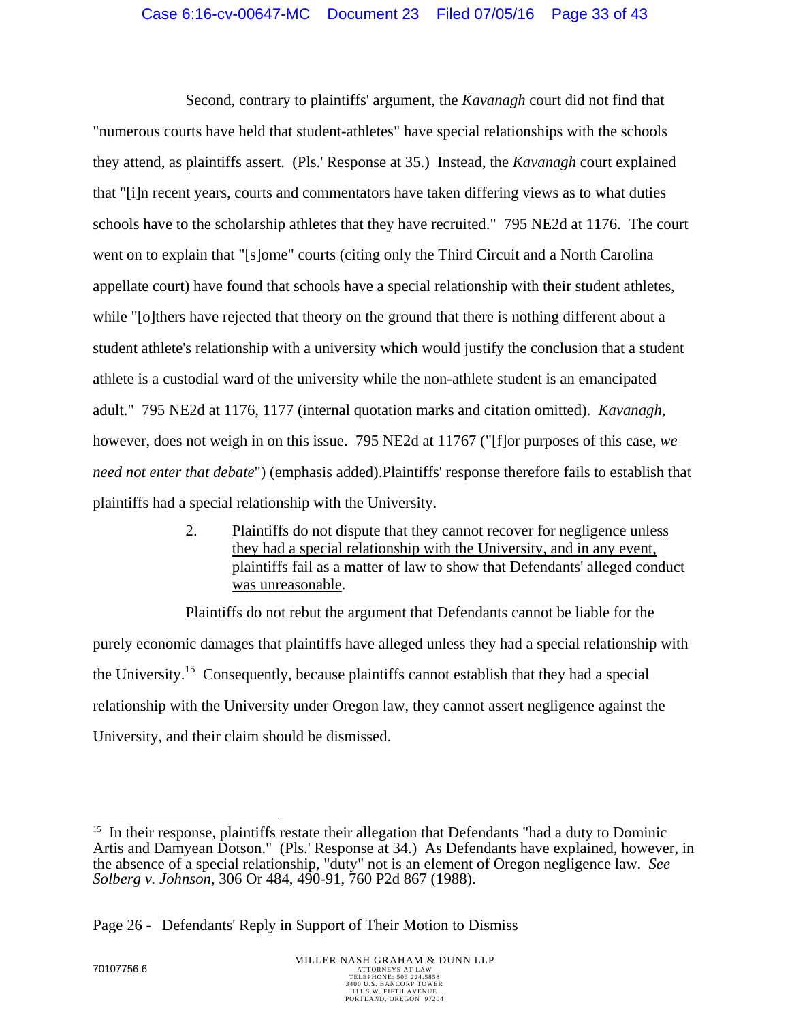## Case 6:16-cv-00647-MC Document 23 Filed 07/05/16 Page 33 of 43

Second, contrary to plaintiffs' argument, the *Kavanagh* court did not find that "numerous courts have held that student-athletes" have special relationships with the schools they attend, as plaintiffs assert. (Pls.' Response at 35.) Instead, the *Kavanagh* court explained that "[i]n recent years, courts and commentators have taken differing views as to what duties schools have to the scholarship athletes that they have recruited." 795 NE2d at 1176. The court went on to explain that "[s]ome" courts (citing only the Third Circuit and a North Carolina appellate court) have found that schools have a special relationship with their student athletes, while "[o]thers have rejected that theory on the ground that there is nothing different about a student athlete's relationship with a university which would justify the conclusion that a student athlete is a custodial ward of the university while the non-athlete student is an emancipated adult." 795 NE2d at 1176, 1177 (internal quotation marks and citation omitted). *Kavanagh*, however, does not weigh in on this issue. 795 NE2d at 11767 ("[f]or purposes of this case, *we need not enter that debate*") (emphasis added).Plaintiffs' response therefore fails to establish that plaintiffs had a special relationship with the University.

> 2. Plaintiffs do not dispute that they cannot recover for negligence unless they had a special relationship with the University, and in any event, plaintiffs fail as a matter of law to show that Defendants' alleged conduct was unreasonable.

Plaintiffs do not rebut the argument that Defendants cannot be liable for the purely economic damages that plaintiffs have alleged unless they had a special relationship with the University.15 Consequently, because plaintiffs cannot establish that they had a special relationship with the University under Oregon law, they cannot assert negligence against the University, and their claim should be dismissed.

 $\overline{a}$ 

<sup>&</sup>lt;sup>15</sup> In their response, plaintiffs restate their allegation that Defendants "had a duty to Dominic Artis and Damyean Dotson." (Pls.' Response at 34.) As Defendants have explained, however, in the absence of a special relationship, "duty" not is an element of Oregon negligence law. *See Solberg v. Johnson*, 306 Or 484, 490-91, 760 P2d 867 (1988).

Page 26 - Defendants' Reply in Support of Their Motion to Dismiss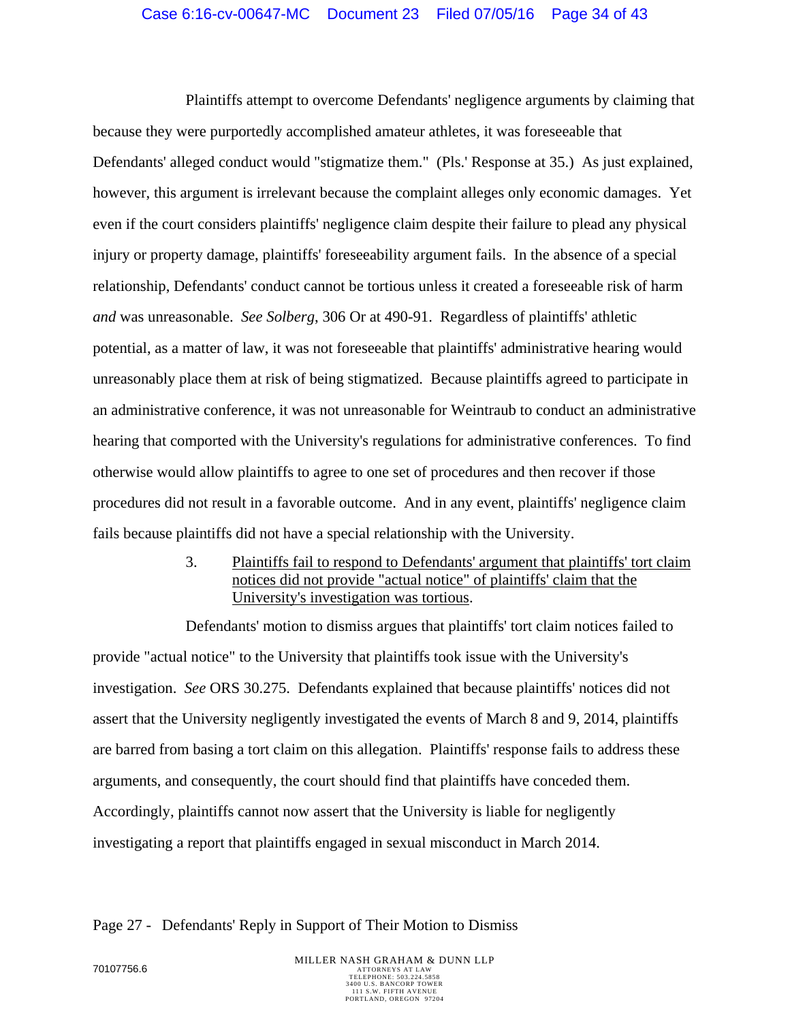### Case 6:16-cv-00647-MC Document 23 Filed 07/05/16 Page 34 of 43

Plaintiffs attempt to overcome Defendants' negligence arguments by claiming that because they were purportedly accomplished amateur athletes, it was foreseeable that Defendants' alleged conduct would "stigmatize them." (Pls.' Response at 35.) As just explained, however, this argument is irrelevant because the complaint alleges only economic damages. Yet even if the court considers plaintiffs' negligence claim despite their failure to plead any physical injury or property damage, plaintiffs' foreseeability argument fails. In the absence of a special relationship, Defendants' conduct cannot be tortious unless it created a foreseeable risk of harm *and* was unreasonable. *See Solberg*, 306 Or at 490-91. Regardless of plaintiffs' athletic potential, as a matter of law, it was not foreseeable that plaintiffs' administrative hearing would unreasonably place them at risk of being stigmatized. Because plaintiffs agreed to participate in an administrative conference, it was not unreasonable for Weintraub to conduct an administrative hearing that comported with the University's regulations for administrative conferences. To find otherwise would allow plaintiffs to agree to one set of procedures and then recover if those procedures did not result in a favorable outcome. And in any event, plaintiffs' negligence claim fails because plaintiffs did not have a special relationship with the University.

> 3. Plaintiffs fail to respond to Defendants' argument that plaintiffs' tort claim notices did not provide "actual notice" of plaintiffs' claim that the University's investigation was tortious.

Defendants' motion to dismiss argues that plaintiffs' tort claim notices failed to provide "actual notice" to the University that plaintiffs took issue with the University's investigation. *See* ORS 30.275. Defendants explained that because plaintiffs' notices did not assert that the University negligently investigated the events of March 8 and 9, 2014, plaintiffs are barred from basing a tort claim on this allegation. Plaintiffs' response fails to address these arguments, and consequently, the court should find that plaintiffs have conceded them. Accordingly, plaintiffs cannot now assert that the University is liable for negligently investigating a report that plaintiffs engaged in sexual misconduct in March 2014.

#### Page 27 - Defendants' Reply in Support of Their Motion to Dismiss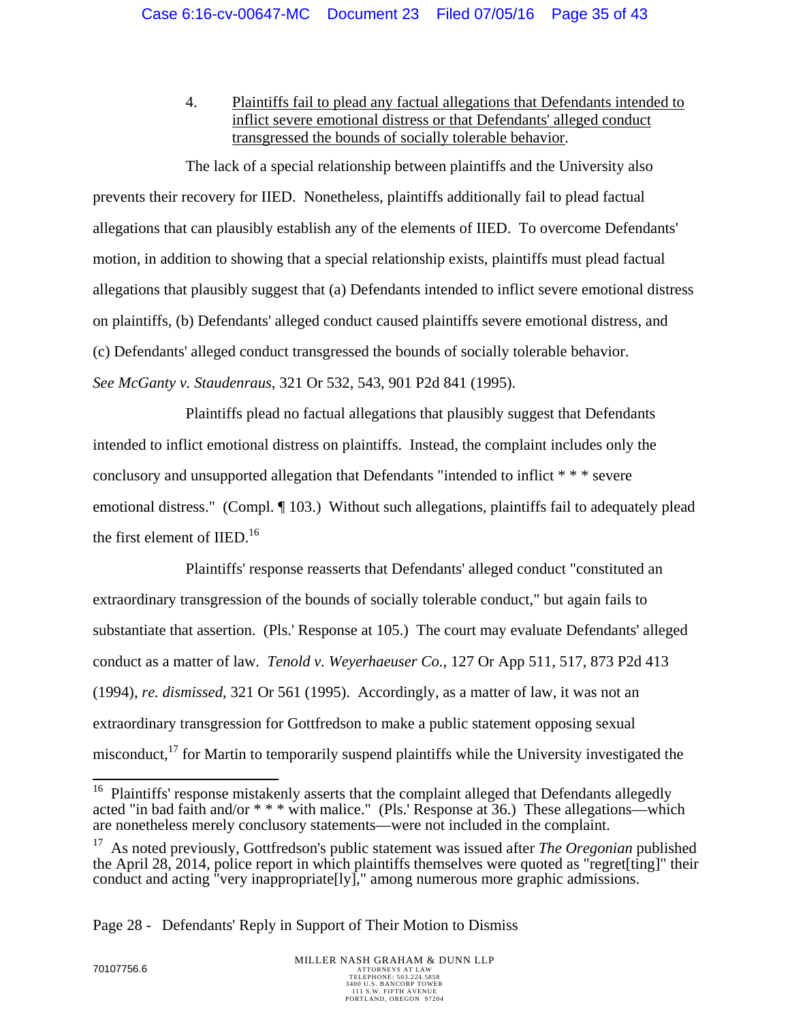4. Plaintiffs fail to plead any factual allegations that Defendants intended to inflict severe emotional distress or that Defendants' alleged conduct transgressed the bounds of socially tolerable behavior.

The lack of a special relationship between plaintiffs and the University also prevents their recovery for IIED. Nonetheless, plaintiffs additionally fail to plead factual allegations that can plausibly establish any of the elements of IIED. To overcome Defendants' motion, in addition to showing that a special relationship exists, plaintiffs must plead factual allegations that plausibly suggest that (a) Defendants intended to inflict severe emotional distress on plaintiffs, (b) Defendants' alleged conduct caused plaintiffs severe emotional distress, and (c) Defendants' alleged conduct transgressed the bounds of socially tolerable behavior. *See McGanty v. Staudenraus*, 321 Or 532, 543, 901 P2d 841 (1995).

Plaintiffs plead no factual allegations that plausibly suggest that Defendants intended to inflict emotional distress on plaintiffs. Instead, the complaint includes only the conclusory and unsupported allegation that Defendants "intended to inflict \* \* \* severe emotional distress." (Compl. ¶ 103.) Without such allegations, plaintiffs fail to adequately plead the first element of IIED.<sup>16</sup>

Plaintiffs' response reasserts that Defendants' alleged conduct "constituted an extraordinary transgression of the bounds of socially tolerable conduct," but again fails to substantiate that assertion. (Pls.' Response at 105.) The court may evaluate Defendants' alleged conduct as a matter of law. *Tenold v. Weyerhaeuser Co.*, 127 Or App 511, 517, 873 P2d 413 (1994), *re. dismissed*, 321 Or 561 (1995). Accordingly, as a matter of law, it was not an extraordinary transgression for Gottfredson to make a public statement opposing sexual misconduct, $^{17}$  for Martin to temporarily suspend plaintiffs while the University investigated the

 $\overline{a}$ <sup>16</sup> Plaintiffs' response mistakenly asserts that the complaint alleged that Defendants allegedly acted "in bad faith and/or \* \* \* with malice." (Pls.' Response at 36.) These allegations—which are nonetheless merely conclusory statements—were not included in the complaint.

<sup>17</sup> As noted previously, Gottfredson's public statement was issued after *The Oregonian* published the April 28, 2014, police report in which plaintiffs themselves were quoted as "regret[ting]" their conduct and acting "very inappropriate[ly]," among numerous more graphic admissions.

Page 28 - Defendants' Reply in Support of Their Motion to Dismiss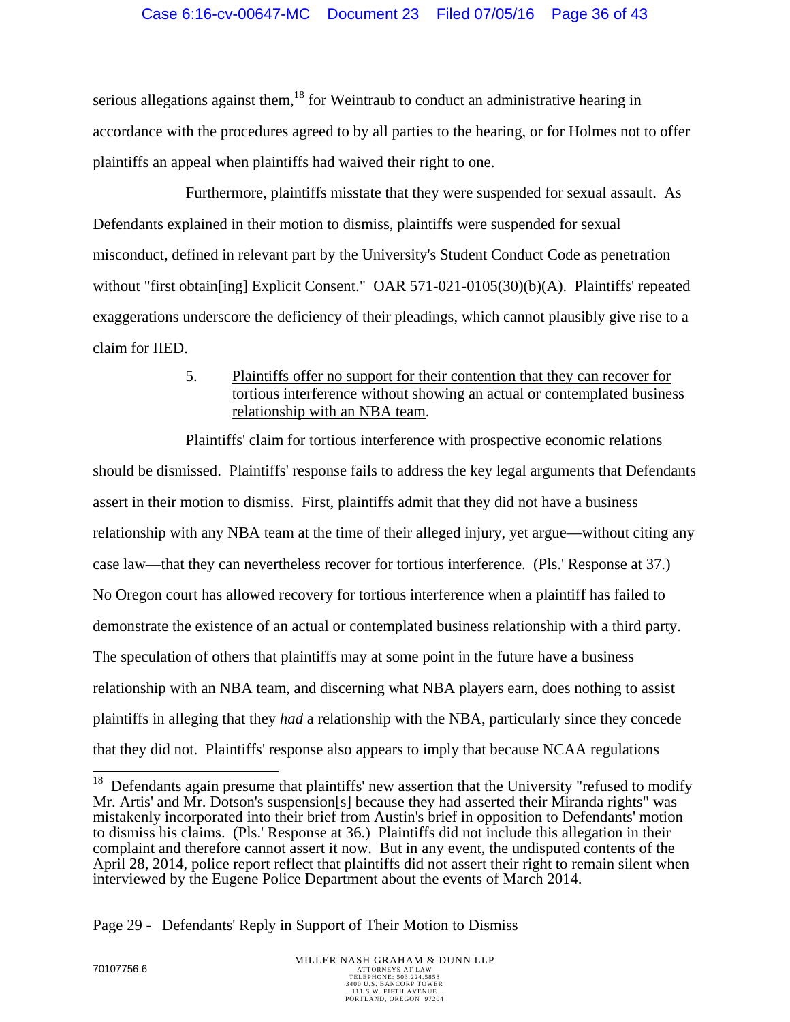serious allegations against them, $^{18}$  for Weintraub to conduct an administrative hearing in accordance with the procedures agreed to by all parties to the hearing, or for Holmes not to offer plaintiffs an appeal when plaintiffs had waived their right to one.

Furthermore, plaintiffs misstate that they were suspended for sexual assault. As Defendants explained in their motion to dismiss, plaintiffs were suspended for sexual misconduct, defined in relevant part by the University's Student Conduct Code as penetration without "first obtain[ing] Explicit Consent." OAR 571-021-0105(30)(b)(A). Plaintiffs' repeated exaggerations underscore the deficiency of their pleadings, which cannot plausibly give rise to a claim for IIED.

# 5. Plaintiffs offer no support for their contention that they can recover for tortious interference without showing an actual or contemplated business relationship with an NBA team.

Plaintiffs' claim for tortious interference with prospective economic relations should be dismissed. Plaintiffs' response fails to address the key legal arguments that Defendants assert in their motion to dismiss. First, plaintiffs admit that they did not have a business relationship with any NBA team at the time of their alleged injury, yet argue—without citing any case law—that they can nevertheless recover for tortious interference. (Pls.' Response at 37.) No Oregon court has allowed recovery for tortious interference when a plaintiff has failed to demonstrate the existence of an actual or contemplated business relationship with a third party. The speculation of others that plaintiffs may at some point in the future have a business relationship with an NBA team, and discerning what NBA players earn, does nothing to assist plaintiffs in alleging that they *had* a relationship with the NBA, particularly since they concede that they did not. Plaintiffs' response also appears to imply that because NCAA regulations

Page 29 - Defendants' Reply in Support of Their Motion to Dismiss

 $\overline{\phantom{a}}$ 18 Defendants again presume that plaintiffs' new assertion that the University "refused to modify Mr. Artis' and Mr. Dotson's suspension[s] because they had asserted their Miranda rights" was mistakenly incorporated into their brief from Austin's brief in opposition to Defendants' motion to dismiss his claims. (Pls.' Response at 36.) Plaintiffs did not include this allegation in their complaint and therefore cannot assert it now. But in any event, the undisputed contents of the April 28, 2014, police report reflect that plaintiffs did not assert their right to remain silent when interviewed by the Eugene Police Department about the events of March 2014.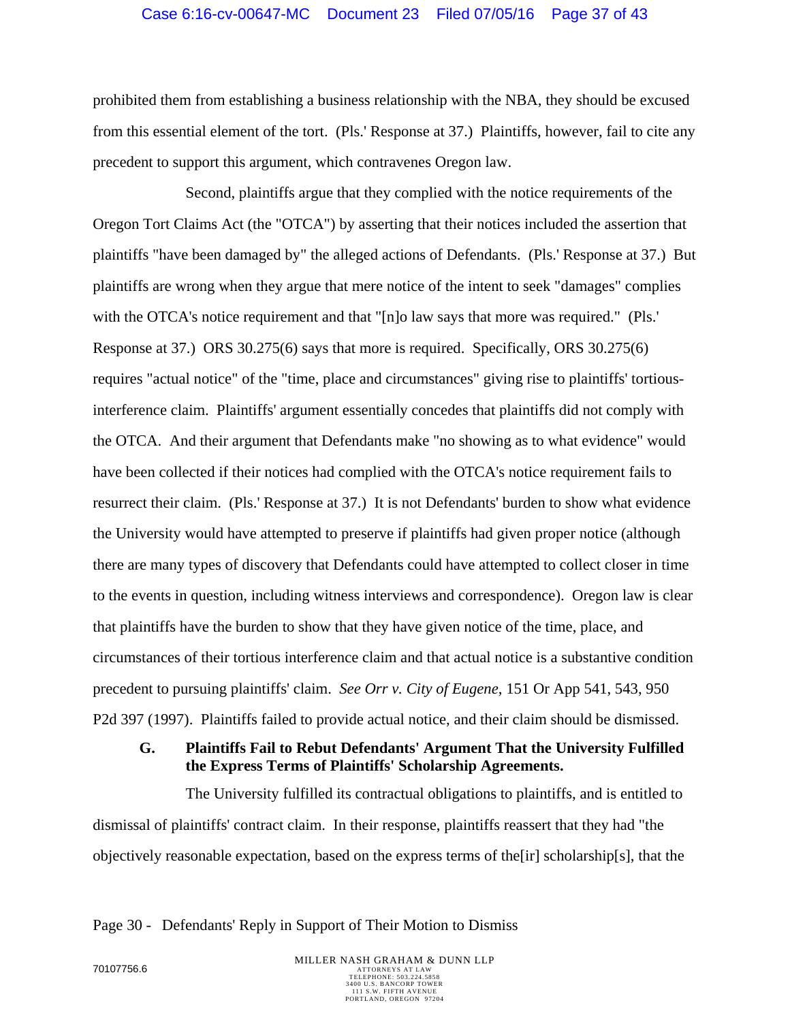#### Case 6:16-cv-00647-MC Document 23 Filed 07/05/16 Page 37 of 43

prohibited them from establishing a business relationship with the NBA, they should be excused from this essential element of the tort. (Pls.' Response at 37.) Plaintiffs, however, fail to cite any precedent to support this argument, which contravenes Oregon law.

Second, plaintiffs argue that they complied with the notice requirements of the Oregon Tort Claims Act (the "OTCA") by asserting that their notices included the assertion that plaintiffs "have been damaged by" the alleged actions of Defendants. (Pls.' Response at 37.) But plaintiffs are wrong when they argue that mere notice of the intent to seek "damages" complies with the OTCA's notice requirement and that "[n]o law says that more was required." (Pls.' Response at 37.) ORS 30.275(6) says that more is required. Specifically, ORS 30.275(6) requires "actual notice" of the "time, place and circumstances" giving rise to plaintiffs' tortiousinterference claim. Plaintiffs' argument essentially concedes that plaintiffs did not comply with the OTCA. And their argument that Defendants make "no showing as to what evidence" would have been collected if their notices had complied with the OTCA's notice requirement fails to resurrect their claim. (Pls.' Response at 37.) It is not Defendants' burden to show what evidence the University would have attempted to preserve if plaintiffs had given proper notice (although there are many types of discovery that Defendants could have attempted to collect closer in time to the events in question, including witness interviews and correspondence). Oregon law is clear that plaintiffs have the burden to show that they have given notice of the time, place, and circumstances of their tortious interference claim and that actual notice is a substantive condition precedent to pursuing plaintiffs' claim. *See Orr v. City of Eugene*, 151 Or App 541, 543, 950 P2d 397 (1997). Plaintiffs failed to provide actual notice, and their claim should be dismissed.

## **G. Plaintiffs Fail to Rebut Defendants' Argument That the University Fulfilled the Express Terms of Plaintiffs' Scholarship Agreements.**

The University fulfilled its contractual obligations to plaintiffs, and is entitled to dismissal of plaintiffs' contract claim. In their response, plaintiffs reassert that they had "the objectively reasonable expectation, based on the express terms of the[ir] scholarship[s], that the

Page 30 - Defendants' Reply in Support of Their Motion to Dismiss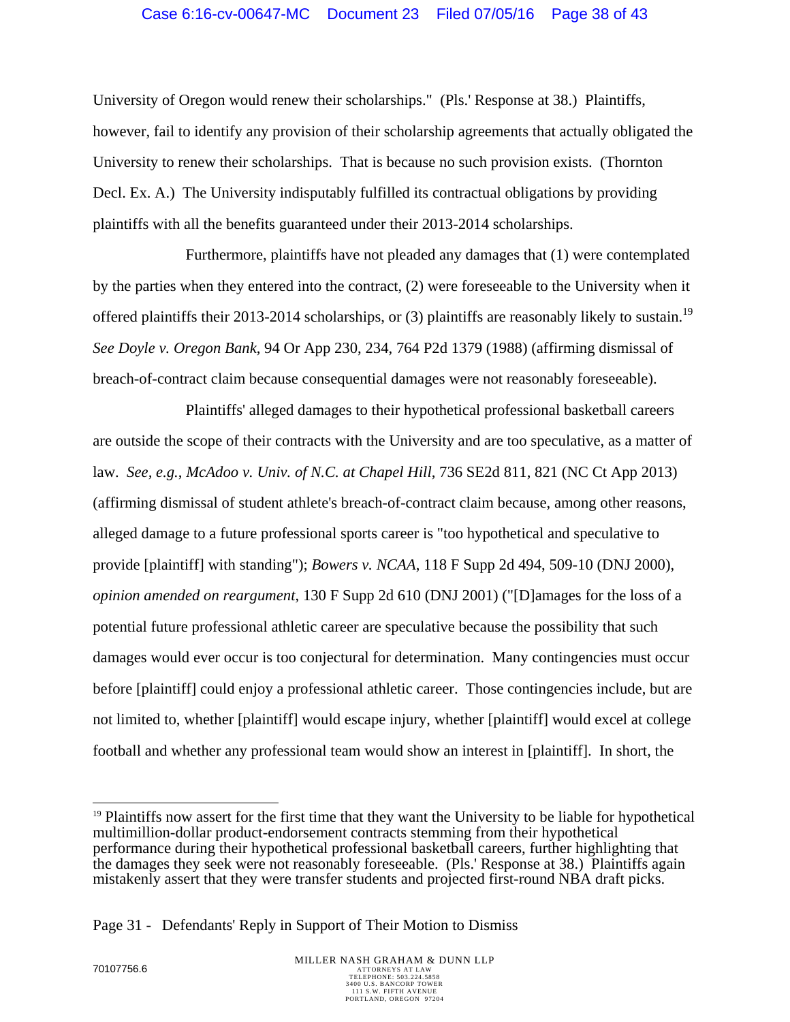### Case 6:16-cv-00647-MC Document 23 Filed 07/05/16 Page 38 of 43

University of Oregon would renew their scholarships." (Pls.' Response at 38.) Plaintiffs, however, fail to identify any provision of their scholarship agreements that actually obligated the University to renew their scholarships. That is because no such provision exists. (Thornton Decl. Ex. A.) The University indisputably fulfilled its contractual obligations by providing plaintiffs with all the benefits guaranteed under their 2013-2014 scholarships.

Furthermore, plaintiffs have not pleaded any damages that (1) were contemplated by the parties when they entered into the contract, (2) were foreseeable to the University when it offered plaintiffs their 2013-2014 scholarships, or (3) plaintiffs are reasonably likely to sustain.<sup>19</sup> *See Doyle v. Oregon Bank*, 94 Or App 230, 234, 764 P2d 1379 (1988) (affirming dismissal of breach-of-contract claim because consequential damages were not reasonably foreseeable).

Plaintiffs' alleged damages to their hypothetical professional basketball careers are outside the scope of their contracts with the University and are too speculative, as a matter of law. *See, e.g.*, *McAdoo v. Univ. of N.C. at Chapel Hill*, 736 SE2d 811, 821 (NC Ct App 2013) (affirming dismissal of student athlete's breach-of-contract claim because, among other reasons, alleged damage to a future professional sports career is "too hypothetical and speculative to provide [plaintiff] with standing"); *Bowers v. NCAA*, 118 F Supp 2d 494, 509-10 (DNJ 2000), *opinion amended on reargument*, 130 F Supp 2d 610 (DNJ 2001) ("[D]amages for the loss of a potential future professional athletic career are speculative because the possibility that such damages would ever occur is too conjectural for determination. Many contingencies must occur before [plaintiff] could enjoy a professional athletic career. Those contingencies include, but are not limited to, whether [plaintiff] would escape injury, whether [plaintiff] would excel at college football and whether any professional team would show an interest in [plaintiff]. In short, the

 $\overline{a}$ 

<sup>&</sup>lt;sup>19</sup> Plaintiffs now assert for the first time that they want the University to be liable for hypothetical multimillion-dollar product-endorsement contracts stemming from their hypothetical performance during their hypothetical professional basketball careers, further highlighting that the damages they seek were not reasonably foreseeable. (Pls.' Response at 38.) Plaintiffs again mistakenly assert that they were transfer students and projected first-round NBA draft picks.

Page 31 - Defendants' Reply in Support of Their Motion to Dismiss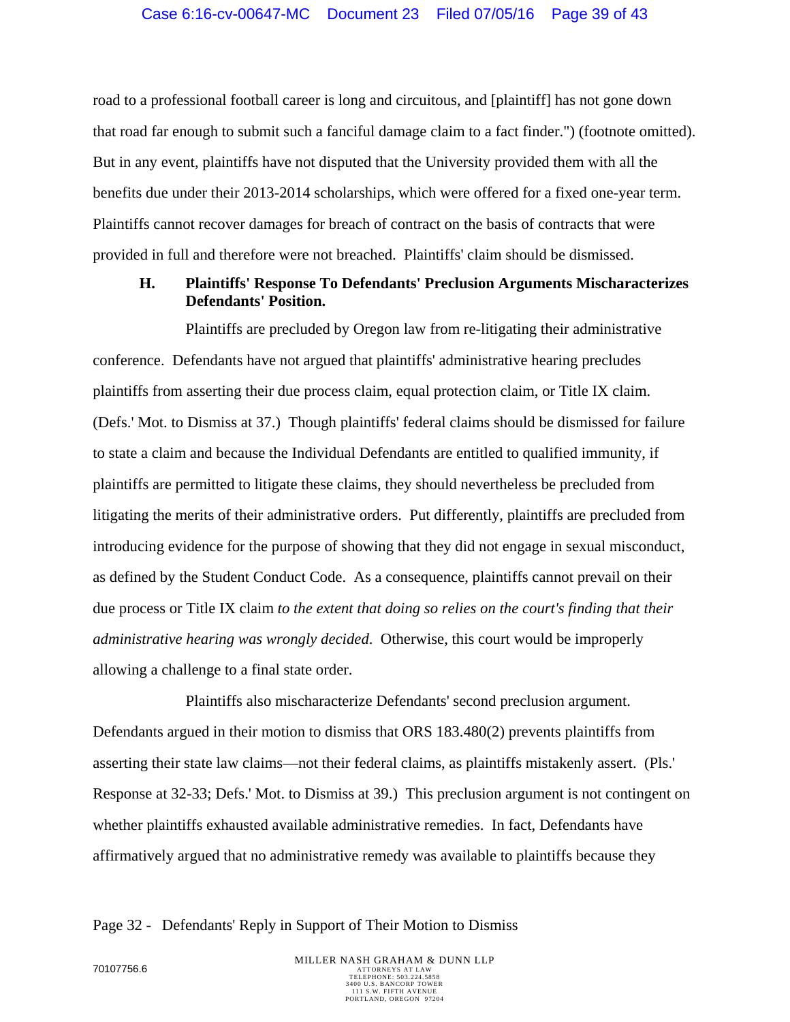road to a professional football career is long and circuitous, and [plaintiff] has not gone down that road far enough to submit such a fanciful damage claim to a fact finder.") (footnote omitted). But in any event, plaintiffs have not disputed that the University provided them with all the benefits due under their 2013-2014 scholarships, which were offered for a fixed one-year term. Plaintiffs cannot recover damages for breach of contract on the basis of contracts that were provided in full and therefore were not breached. Plaintiffs' claim should be dismissed.

### **H. Plaintiffs' Response To Defendants' Preclusion Arguments Mischaracterizes Defendants' Position.**

Plaintiffs are precluded by Oregon law from re-litigating their administrative conference. Defendants have not argued that plaintiffs' administrative hearing precludes plaintiffs from asserting their due process claim, equal protection claim, or Title IX claim. (Defs.' Mot. to Dismiss at 37.) Though plaintiffs' federal claims should be dismissed for failure to state a claim and because the Individual Defendants are entitled to qualified immunity, if plaintiffs are permitted to litigate these claims, they should nevertheless be precluded from litigating the merits of their administrative orders. Put differently, plaintiffs are precluded from introducing evidence for the purpose of showing that they did not engage in sexual misconduct, as defined by the Student Conduct Code. As a consequence, plaintiffs cannot prevail on their due process or Title IX claim *to the extent that doing so relies on the court's finding that their administrative hearing was wrongly decided*. Otherwise, this court would be improperly allowing a challenge to a final state order.

Plaintiffs also mischaracterize Defendants' second preclusion argument. Defendants argued in their motion to dismiss that ORS 183.480(2) prevents plaintiffs from asserting their state law claims—not their federal claims, as plaintiffs mistakenly assert. (Pls.' Response at 32-33; Defs.' Mot. to Dismiss at 39.) This preclusion argument is not contingent on whether plaintiffs exhausted available administrative remedies. In fact, Defendants have affirmatively argued that no administrative remedy was available to plaintiffs because they

#### Page 32 - Defendants' Reply in Support of Their Motion to Dismiss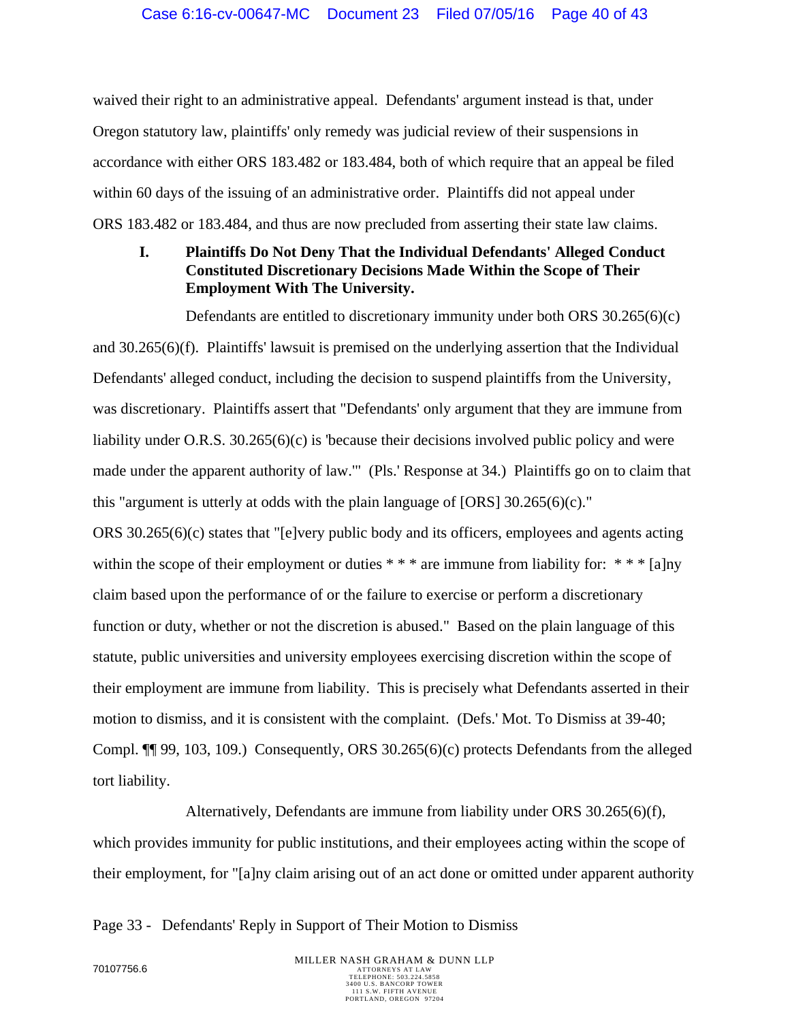waived their right to an administrative appeal. Defendants' argument instead is that, under Oregon statutory law, plaintiffs' only remedy was judicial review of their suspensions in accordance with either ORS 183.482 or 183.484, both of which require that an appeal be filed within 60 days of the issuing of an administrative order. Plaintiffs did not appeal under ORS 183.482 or 183.484, and thus are now precluded from asserting their state law claims.

# **I. Plaintiffs Do Not Deny That the Individual Defendants' Alleged Conduct Constituted Discretionary Decisions Made Within the Scope of Their Employment With The University.**

Defendants are entitled to discretionary immunity under both ORS 30.265(6)(c) and 30.265(6)(f). Plaintiffs' lawsuit is premised on the underlying assertion that the Individual Defendants' alleged conduct, including the decision to suspend plaintiffs from the University, was discretionary. Plaintiffs assert that "Defendants' only argument that they are immune from liability under O.R.S. 30.265(6)(c) is 'because their decisions involved public policy and were made under the apparent authority of law.'" (Pls.' Response at 34.) Plaintiffs go on to claim that this "argument is utterly at odds with the plain language of [ORS] 30.265(6)(c)." ORS 30.265(6)(c) states that "[e]very public body and its officers, employees and agents acting within the scope of their employment or duties  $**$  are immune from liability for:  $**$  [a]ny claim based upon the performance of or the failure to exercise or perform a discretionary function or duty, whether or not the discretion is abused." Based on the plain language of this statute, public universities and university employees exercising discretion within the scope of their employment are immune from liability. This is precisely what Defendants asserted in their motion to dismiss, and it is consistent with the complaint. (Defs.' Mot. To Dismiss at 39-40; Compl. ¶¶ 99, 103, 109.) Consequently, ORS 30.265(6)(c) protects Defendants from the alleged tort liability.

Alternatively, Defendants are immune from liability under ORS 30.265(6)(f), which provides immunity for public institutions, and their employees acting within the scope of their employment, for "[a]ny claim arising out of an act done or omitted under apparent authority

Page 33 - Defendants' Reply in Support of Their Motion to Dismiss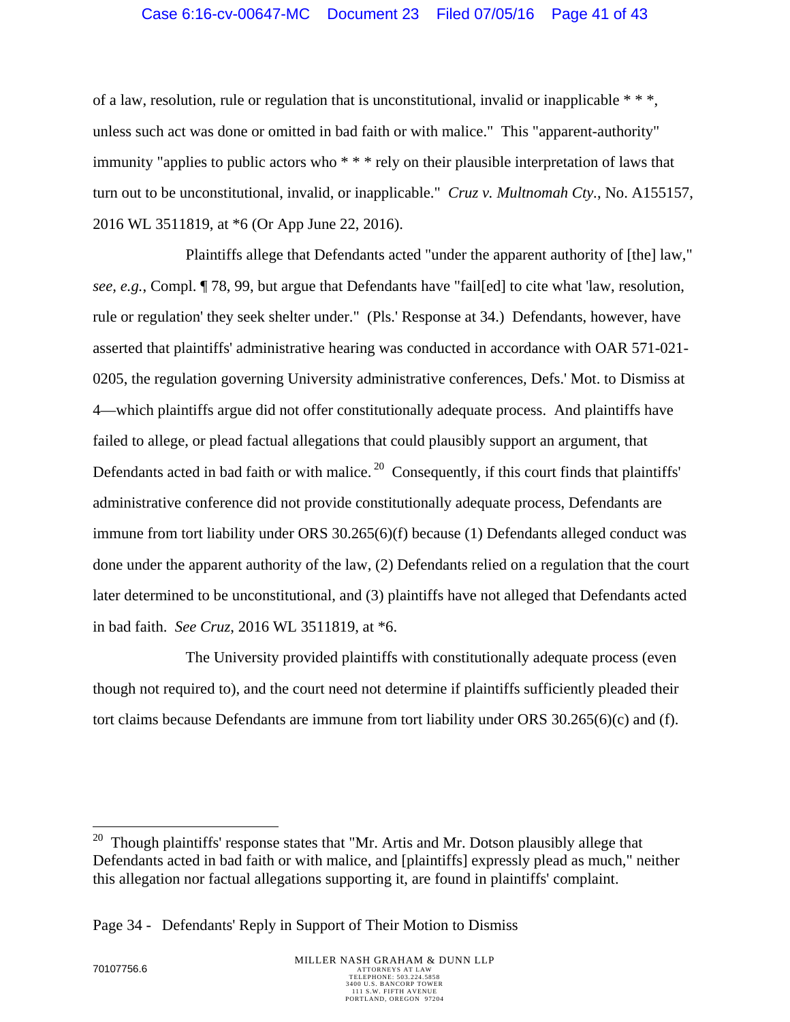### Case 6:16-cv-00647-MC Document 23 Filed 07/05/16 Page 41 of 43

of a law, resolution, rule or regulation that is unconstitutional, invalid or inapplicable \* \* \*, unless such act was done or omitted in bad faith or with malice." This "apparent-authority" immunity "applies to public actors who \* \* \* rely on their plausible interpretation of laws that turn out to be unconstitutional, invalid, or inapplicable." *Cruz v. Multnomah Cty.*, No. A155157, 2016 WL 3511819, at \*6 (Or App June 22, 2016).

Plaintiffs allege that Defendants acted "under the apparent authority of [the] law," *see, e.g.*, Compl. ¶ 78, 99, but argue that Defendants have "fail[ed] to cite what 'law, resolution, rule or regulation' they seek shelter under." (Pls.' Response at 34.) Defendants, however, have asserted that plaintiffs' administrative hearing was conducted in accordance with OAR 571-021- 0205, the regulation governing University administrative conferences, Defs.' Mot. to Dismiss at 4—which plaintiffs argue did not offer constitutionally adequate process. And plaintiffs have failed to allege, or plead factual allegations that could plausibly support an argument, that Defendants acted in bad faith or with malice.<sup>20</sup> Consequently, if this court finds that plaintiffs' administrative conference did not provide constitutionally adequate process, Defendants are immune from tort liability under ORS 30.265(6)(f) because (1) Defendants alleged conduct was done under the apparent authority of the law, (2) Defendants relied on a regulation that the court later determined to be unconstitutional, and (3) plaintiffs have not alleged that Defendants acted in bad faith. *See Cruz*, 2016 WL 3511819, at \*6.

The University provided plaintiffs with constitutionally adequate process (even though not required to), and the court need not determine if plaintiffs sufficiently pleaded their tort claims because Defendants are immune from tort liability under ORS 30.265(6)(c) and (f).

 $\overline{a}$ 

<sup>&</sup>lt;sup>20</sup> Though plaintiffs' response states that "Mr. Artis and Mr. Dotson plausibly allege that Defendants acted in bad faith or with malice, and [plaintiffs] expressly plead as much," neither this allegation nor factual allegations supporting it, are found in plaintiffs' complaint.

Page 34 - Defendants' Reply in Support of Their Motion to Dismiss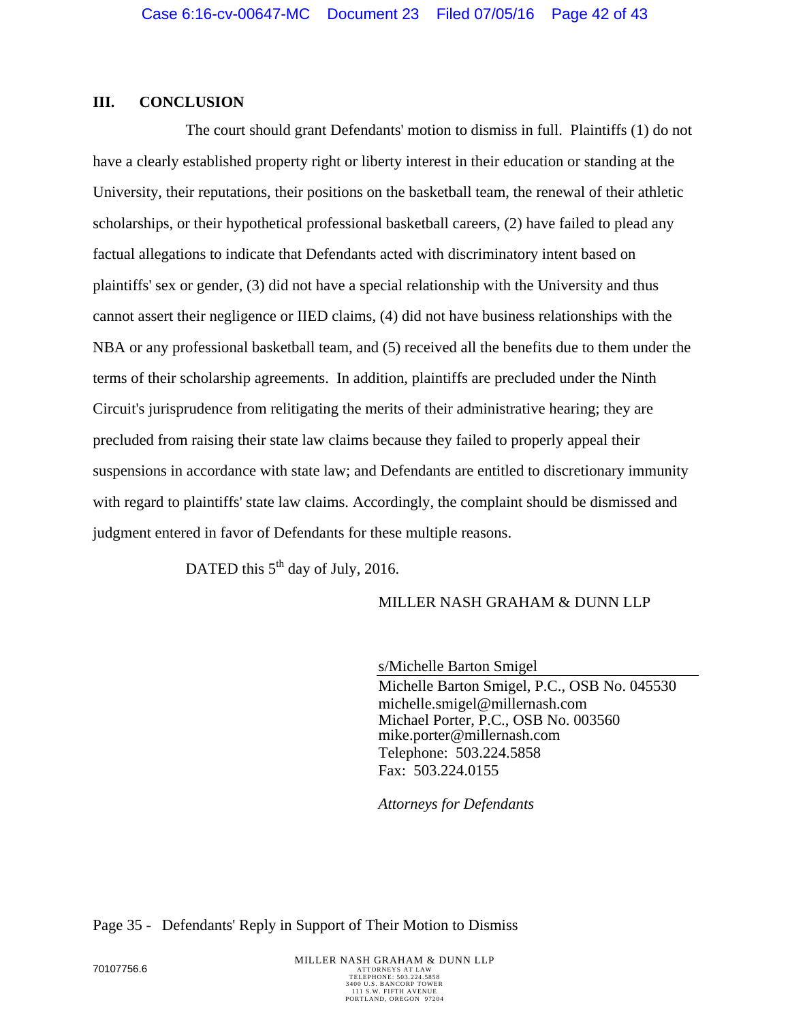### **III. CONCLUSION**

The court should grant Defendants' motion to dismiss in full. Plaintiffs (1) do not have a clearly established property right or liberty interest in their education or standing at the University, their reputations, their positions on the basketball team, the renewal of their athletic scholarships, or their hypothetical professional basketball careers, (2) have failed to plead any factual allegations to indicate that Defendants acted with discriminatory intent based on plaintiffs' sex or gender, (3) did not have a special relationship with the University and thus cannot assert their negligence or IIED claims, (4) did not have business relationships with the NBA or any professional basketball team, and (5) received all the benefits due to them under the terms of their scholarship agreements. In addition, plaintiffs are precluded under the Ninth Circuit's jurisprudence from relitigating the merits of their administrative hearing; they are precluded from raising their state law claims because they failed to properly appeal their suspensions in accordance with state law; and Defendants are entitled to discretionary immunity with regard to plaintiffs' state law claims. Accordingly, the complaint should be dismissed and judgment entered in favor of Defendants for these multiple reasons.

DATED this 5<sup>th</sup> day of July, 2016.

# MILLER NASH GRAHAM & DUNN LLP

s/Michelle Barton Smigel Michelle Barton Smigel, P.C., OSB No. 045530 michelle.smigel@millernash.com Michael Porter, P.C., OSB No. 003560 mike.porter@millernash.com Telephone: 503.224.5858 Fax: 503.224.0155

*Attorneys for Defendants* 

Page 35 - Defendants' Reply in Support of Their Motion to Dismiss